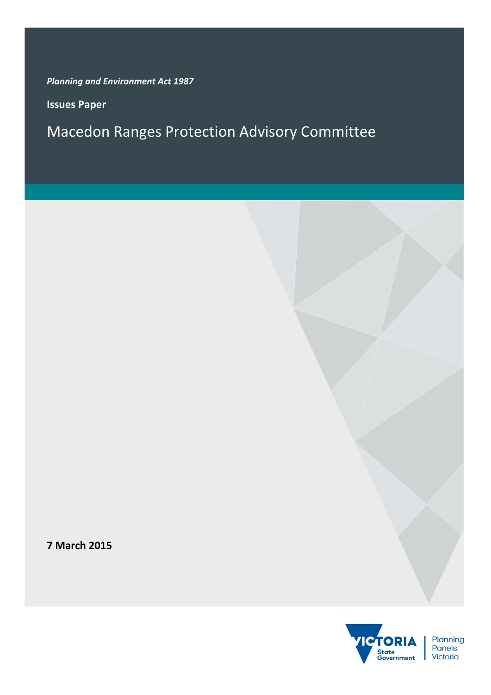*Planning and Environment Act 1987*

**Issues Paper**

Macedon Ranges Protection Advisory Committee

**7 March 2015**

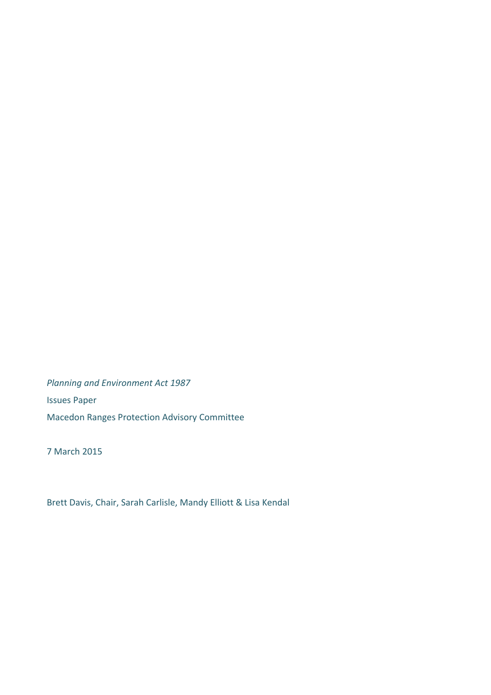*Planning and Environment Act 1987* Issues Paper Macedon Ranges Protection Advisory Committee

7 March 2015

Brett Davis, Chair, Sarah Carlisle, Mandy Elliott & Lisa Kendal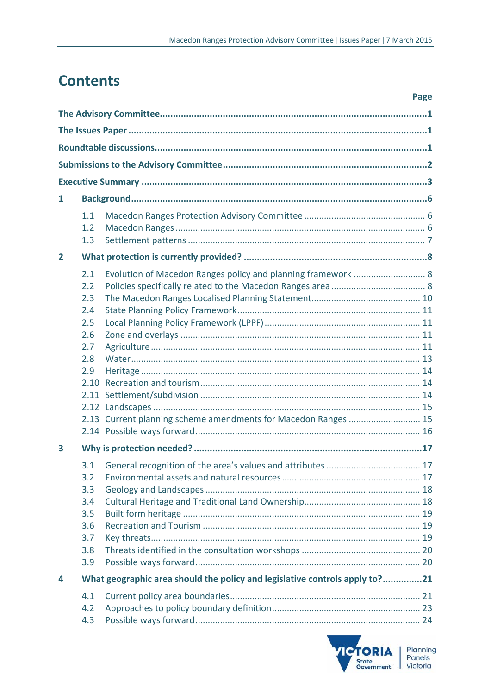# **Contents**

|                | Page                                                                                                                                                                                                  |  |
|----------------|-------------------------------------------------------------------------------------------------------------------------------------------------------------------------------------------------------|--|
|                |                                                                                                                                                                                                       |  |
|                |                                                                                                                                                                                                       |  |
|                |                                                                                                                                                                                                       |  |
|                |                                                                                                                                                                                                       |  |
|                |                                                                                                                                                                                                       |  |
| 1              |                                                                                                                                                                                                       |  |
|                | 1.1<br>1.2<br>1.3                                                                                                                                                                                     |  |
| $\overline{2}$ |                                                                                                                                                                                                       |  |
|                | 2.1<br>Evolution of Macedon Ranges policy and planning framework  8<br>2.2<br>2.3<br>2.4<br>2.5<br>2.6<br>2.7<br>2.8<br>2.9<br>2.10<br>2.13 Current planning scheme amendments for Macedon Ranges  15 |  |
| 3              | 3.1<br>3.2<br>3.3<br>3.4<br>3.5<br>3.6<br>3.7<br>3.8<br>3.9                                                                                                                                           |  |
| 4              | What geographic area should the policy and legislative controls apply to?21                                                                                                                           |  |
|                | 4.1<br>4.2<br>4.3                                                                                                                                                                                     |  |

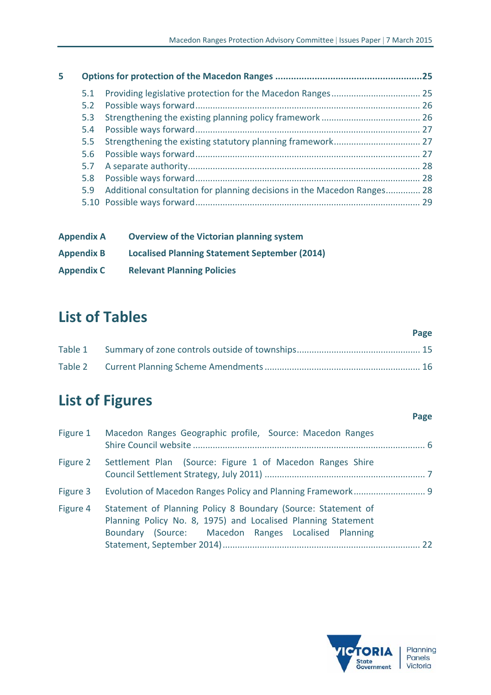| 5 |     |                                                                             |  |
|---|-----|-----------------------------------------------------------------------------|--|
|   | 5.1 |                                                                             |  |
|   |     |                                                                             |  |
|   |     |                                                                             |  |
|   |     |                                                                             |  |
|   | 5.5 |                                                                             |  |
|   |     |                                                                             |  |
|   |     |                                                                             |  |
|   |     |                                                                             |  |
|   |     | 5.9 Additional consultation for planning decisions in the Macedon Ranges 28 |  |
|   |     |                                                                             |  |
|   |     |                                                                             |  |

| <b>Appendix A</b> | <b>Overview of the Victorian planning system</b>     |
|-------------------|------------------------------------------------------|
| <b>Appendix B</b> | <b>Localised Planning Statement September (2014)</b> |
| <b>Appendix C</b> | <b>Relevant Planning Policies</b>                    |

# **List of Tables**

|  | Page |
|--|------|
|  |      |
|  |      |

# **List of Figures**

| Figure 1 | Macedon Ranges Geographic profile, Source: Macedon Ranges                                                                                                                             |  |
|----------|---------------------------------------------------------------------------------------------------------------------------------------------------------------------------------------|--|
| Figure 2 | Settlement Plan (Source: Figure 1 of Macedon Ranges Shire                                                                                                                             |  |
| Figure 3 |                                                                                                                                                                                       |  |
| Figure 4 | Statement of Planning Policy 8 Boundary (Source: Statement of<br>Planning Policy No. 8, 1975) and Localised Planning Statement<br>Boundary (Source: Macedon Ranges Localised Planning |  |



**Page**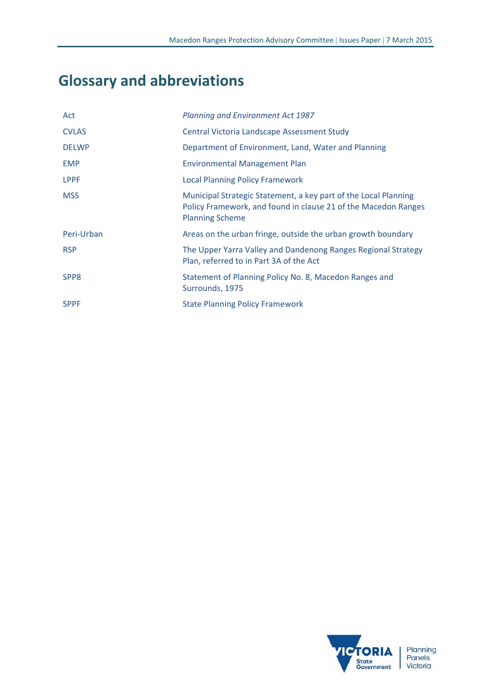# **Glossary and abbreviations**

| Act              | Planning and Environment Act 1987                                                                                                                           |
|------------------|-------------------------------------------------------------------------------------------------------------------------------------------------------------|
| <b>CVLAS</b>     | Central Victoria Landscape Assessment Study                                                                                                                 |
| <b>DELWP</b>     | Department of Environment, Land, Water and Planning                                                                                                         |
| <b>EMP</b>       | <b>Environmental Management Plan</b>                                                                                                                        |
| <b>LPPF</b>      | <b>Local Planning Policy Framework</b>                                                                                                                      |
| <b>MSS</b>       | Municipal Strategic Statement, a key part of the Local Planning<br>Policy Framework, and found in clause 21 of the Macedon Ranges<br><b>Planning Scheme</b> |
| Peri-Urban       | Areas on the urban fringe, outside the urban growth boundary                                                                                                |
| <b>RSP</b>       | The Upper Yarra Valley and Dandenong Ranges Regional Strategy<br>Plan, referred to in Part 3A of the Act                                                    |
| SPP <sub>8</sub> | Statement of Planning Policy No. 8, Macedon Ranges and<br>Surrounds, 1975                                                                                   |
| <b>SPPF</b>      | <b>State Planning Policy Framework</b>                                                                                                                      |

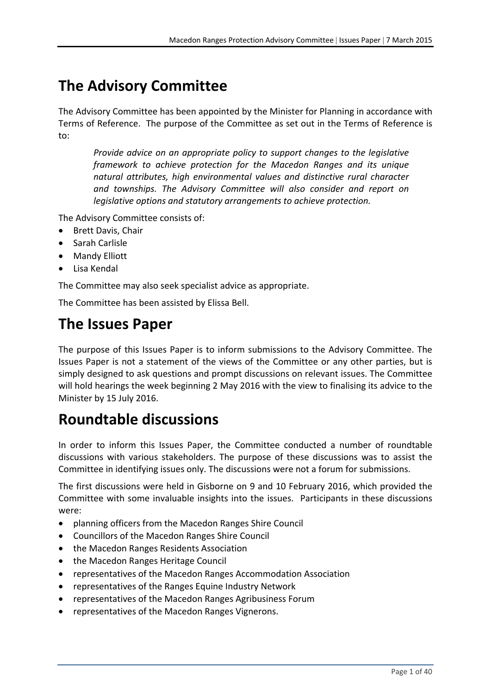# **The Advisory Committee**

The Advisory Committee has been appointed by the Minister for Planning in accordance with Terms of Reference. The purpose of the Committee as set out in the Terms of Reference is to:

*Provide advice on an appropriate policy to support changes to the legislative framework to achieve protection for the Macedon Ranges and its unique natural attributes, high environmental values and distinctive rural character and townships. The Advisory Committee will also consider and report on legislative options and statutory arrangements to achieve protection.* 

The Advisory Committee consists of:

- Brett Davis, Chair
- Sarah Carlisle
- Mandy Elliott
- Lisa Kendal

The Committee may also seek specialist advice as appropriate.

The Committee has been assisted by Elissa Bell.

# **The Issues Paper**

The purpose of this Issues Paper is to inform submissions to the Advisory Committee. The Issues Paper is not a statement of the views of the Committee or any other parties, but is simply designed to ask questions and prompt discussions on relevant issues. The Committee will hold hearings the week beginning 2 May 2016 with the view to finalising its advice to the Minister by 15 July 2016.

# **Roundtable discussions**

In order to inform this Issues Paper, the Committee conducted a number of roundtable discussions with various stakeholders. The purpose of these discussions was to assist the Committee in identifying issues only. The discussions were not a forum for submissions.

The first discussions were held in Gisborne on 9 and 10 February 2016, which provided the Committee with some invaluable insights into the issues. Participants in these discussions were:

- planning officers from the Macedon Ranges Shire Council
- Councillors of the Macedon Ranges Shire Council
- the Macedon Ranges Residents Association
- the Macedon Ranges Heritage Council
- representatives of the Macedon Ranges Accommodation Association
- representatives of the Ranges Equine Industry Network
- representatives of the Macedon Ranges Agribusiness Forum
- representatives of the Macedon Ranges Vignerons.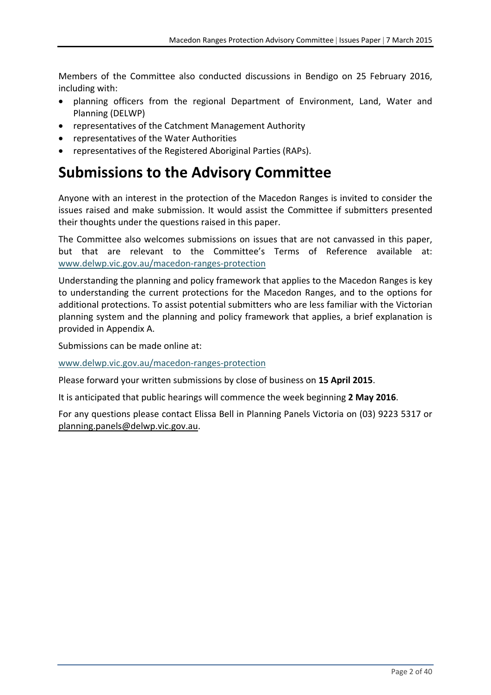Members of the Committee also conducted discussions in Bendigo on 25 February 2016, including with:

- planning officers from the regional Department of Environment, Land, Water and Planning (DELWP)
- representatives of the Catchment Management Authority
- representatives of the Water Authorities
- representatives of the Registered Aboriginal Parties (RAPs).

# **Submissions to the Advisory Committee**

Anyone with an interest in the protection of the Macedon Ranges is invited to consider the issues raised and make submission. It would assist the Committee if submitters presented their thoughts under the questions raised in this paper.

The Committee also welcomes submissions on issues that are not canvassed in this paper, but that are relevant to the Committee's Terms of Reference available at: www.delwp.vic.gov.au/macedon‐ranges‐protection

Understanding the planning and policy framework that applies to the Macedon Ranges is key to understanding the current protections for the Macedon Ranges, and to the options for additional protections. To assist potential submitters who are less familiar with the Victorian planning system and the planning and policy framework that applies, a brief explanation is provided in Appendix A.

Submissions can be made online at:

www.delwp.vic.gov.au/macedon‐ranges‐protection

Please forward your written submissions by close of business on **15 April 2015**.

It is anticipated that public hearings will commence the week beginning **2 May 2016**.

For any questions please contact Elissa Bell in Planning Panels Victoria on (03) 9223 5317 or planning.panels@delwp.vic.gov.au.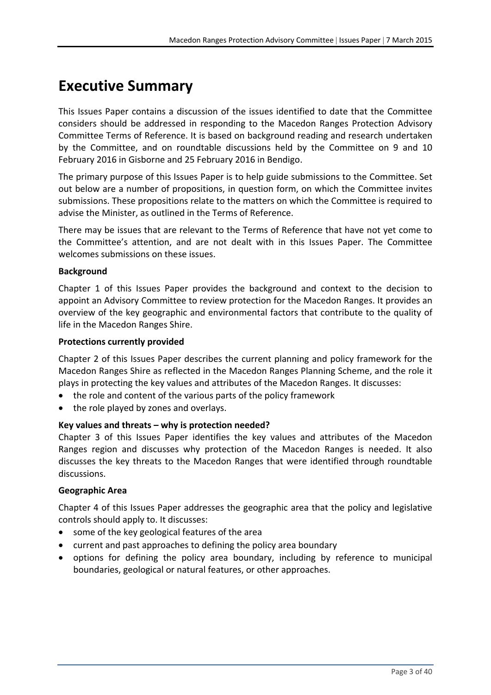# **Executive Summary**

This Issues Paper contains a discussion of the issues identified to date that the Committee considers should be addressed in responding to the Macedon Ranges Protection Advisory Committee Terms of Reference. It is based on background reading and research undertaken by the Committee, and on roundtable discussions held by the Committee on 9 and 10 February 2016 in Gisborne and 25 February 2016 in Bendigo.

The primary purpose of this Issues Paper is to help guide submissions to the Committee. Set out below are a number of propositions, in question form, on which the Committee invites submissions. These propositions relate to the matters on which the Committee is required to advise the Minister, as outlined in the Terms of Reference.

There may be issues that are relevant to the Terms of Reference that have not yet come to the Committee's attention, and are not dealt with in this Issues Paper. The Committee welcomes submissions on these issues.

### **Background**

Chapter 1 of this Issues Paper provides the background and context to the decision to appoint an Advisory Committee to review protection for the Macedon Ranges. It provides an overview of the key geographic and environmental factors that contribute to the quality of life in the Macedon Ranges Shire.

#### **Protections currently provided**

Chapter 2 of this Issues Paper describes the current planning and policy framework for the Macedon Ranges Shire as reflected in the Macedon Ranges Planning Scheme, and the role it plays in protecting the key values and attributes of the Macedon Ranges. It discusses:

- the role and content of the various parts of the policy framework
- the role played by zones and overlays.

#### **Key values and threats – why is protection needed?**

Chapter 3 of this Issues Paper identifies the key values and attributes of the Macedon Ranges region and discusses why protection of the Macedon Ranges is needed. It also discusses the key threats to the Macedon Ranges that were identified through roundtable discussions.

#### **Geographic Area**

Chapter 4 of this Issues Paper addresses the geographic area that the policy and legislative controls should apply to. It discusses:

- some of the key geological features of the area
- current and past approaches to defining the policy area boundary
- options for defining the policy area boundary, including by reference to municipal boundaries, geological or natural features, or other approaches.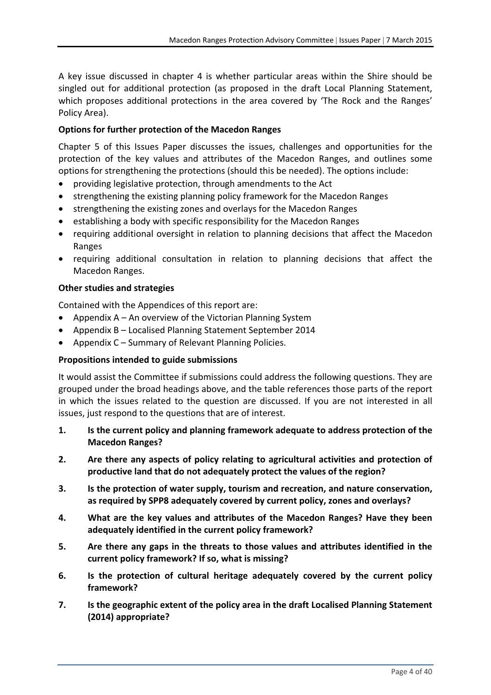A key issue discussed in chapter 4 is whether particular areas within the Shire should be singled out for additional protection (as proposed in the draft Local Planning Statement, which proposes additional protections in the area covered by 'The Rock and the Ranges' Policy Area).

### **Options for further protection of the Macedon Ranges**

Chapter 5 of this Issues Paper discusses the issues, challenges and opportunities for the protection of the key values and attributes of the Macedon Ranges, and outlines some options for strengthening the protections (should this be needed). The options include:

- providing legislative protection, through amendments to the Act
- strengthening the existing planning policy framework for the Macedon Ranges
- strengthening the existing zones and overlays for the Macedon Ranges
- establishing a body with specific responsibility for the Macedon Ranges
- requiring additional oversight in relation to planning decisions that affect the Macedon Ranges
- requiring additional consultation in relation to planning decisions that affect the Macedon Ranges.

#### **Other studies and strategies**

Contained with the Appendices of this report are:

- Appendix A An overview of the Victorian Planning System
- Appendix B Localised Planning Statement September 2014
- Appendix C Summary of Relevant Planning Policies.

#### **Propositions intended to guide submissions**

It would assist the Committee if submissions could address the following questions. They are grouped under the broad headings above, and the table references those parts of the report in which the issues related to the question are discussed. If you are not interested in all issues, just respond to the questions that are of interest.

- **1. Is the current policy and planning framework adequate to address protection of the Macedon Ranges?**
- **2. Are there any aspects of policy relating to agricultural activities and protection of productive land that do not adequately protect the values of the region?**
- **3. Is the protection of water supply, tourism and recreation, and nature conservation, as required by SPP8 adequately covered by current policy, zones and overlays?**
- **4. What are the key values and attributes of the Macedon Ranges? Have they been adequately identified in the current policy framework?**
- **5. Are there any gaps in the threats to those values and attributes identified in the current policy framework? If so, what is missing?**
- **6. Is the protection of cultural heritage adequately covered by the current policy framework?**
- **7. Is the geographic extent of the policy area in the draft Localised Planning Statement (2014) appropriate?**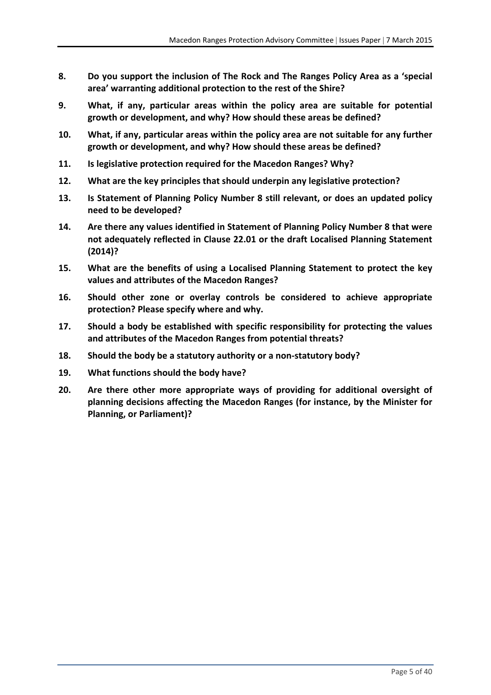- **8. Do you support the inclusion of The Rock and The Ranges Policy Area as a 'special area' warranting additional protection to the rest of the Shire?**
- **9. What, if any, particular areas within the policy area are suitable for potential growth or development, and why? How should these areas be defined?**
- **10. What, if any, particular areas within the policy area are not suitable for any further growth or development, and why? How should these areas be defined?**
- **11. Is legislative protection required for the Macedon Ranges? Why?**
- **12. What are the key principles that should underpin any legislative protection?**
- **13. Is Statement of Planning Policy Number 8 still relevant, or does an updated policy need to be developed?**
- **14. Are there any values identified in Statement of Planning Policy Number 8 that were not adequately reflected in Clause 22.01 or the draft Localised Planning Statement (2014)?**
- **15. What are the benefits of using a Localised Planning Statement to protect the key values and attributes of the Macedon Ranges?**
- **16. Should other zone or overlay controls be considered to achieve appropriate protection? Please specify where and why.**
- **17. Should a body be established with specific responsibility for protecting the values and attributes of the Macedon Ranges from potential threats?**
- **18. Should the body be a statutory authority or a non‐statutory body?**
- **19. What functions should the body have?**
- **20. Are there other more appropriate ways of providing for additional oversight of planning decisions affecting the Macedon Ranges (for instance, by the Minister for Planning, or Parliament)?**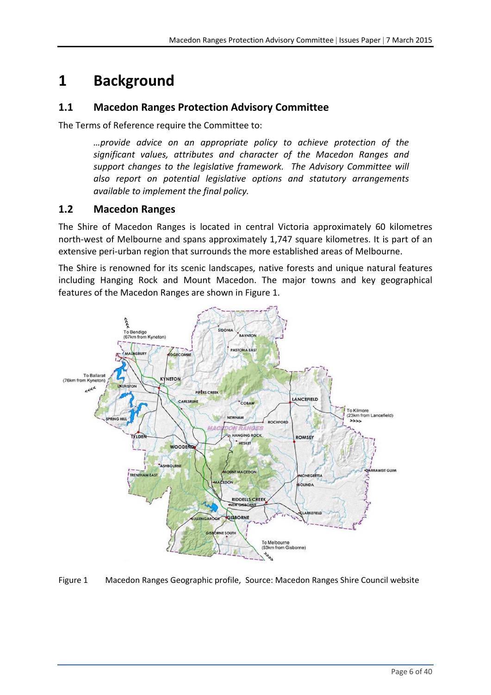# **1 Background**

### **1.1 Macedon Ranges Protection Advisory Committee**

The Terms of Reference require the Committee to:

*…provide advice on an appropriate policy to achieve protection of the significant values, attributes and character of the Macedon Ranges and support changes to the legislative framework. The Advisory Committee will also report on potential legislative options and statutory arrangements available to implement the final policy.*

### **1.2 Macedon Ranges**

The Shire of Macedon Ranges is located in central Victoria approximately 60 kilometres north‐west of Melbourne and spans approximately 1,747 square kilometres. It is part of an extensive peri-urban region that surrounds the more established areas of Melbourne.

The Shire is renowned for its scenic landscapes, native forests and unique natural features including Hanging Rock and Mount Macedon. The major towns and key geographical features of the Macedon Ranges are shown in Figure 1.



Figure 1 Macedon Ranges Geographic profile, Source: Macedon Ranges Shire Council website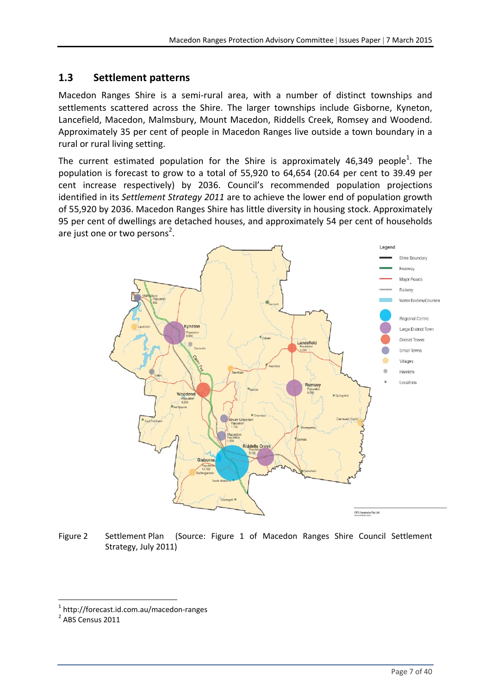### **1.3 Settlement patterns**

Macedon Ranges Shire is a semi‐rural area, with a number of distinct townships and settlements scattered across the Shire. The larger townships include Gisborne, Kyneton, Lancefield, Macedon, Malmsbury, Mount Macedon, Riddells Creek, Romsey and Woodend. Approximately 35 per cent of people in Macedon Ranges live outside a town boundary in a rural or rural living setting.

The current estimated population for the Shire is approximately 46,349 people<sup>1</sup>. The population is forecast to grow to a total of 55,920 to 64,654 (20.64 per cent to 39.49 per cent increase respectively) by 2036. Council's recommended population projections identified in its *Settlement Strategy 2011* are to achieve the lower end of population growth of 55,920 by 2036. Macedon Ranges Shire has little diversity in housing stock. Approximately 95 per cent of dwellings are detached houses, and approximately 54 per cent of households are just one or two persons<sup>2</sup>.



Figure 2 Settlement Plan (Source: Figure 1 of Macedon Ranges Shire Council Settlement Strategy, July 2011)

 $\frac{1}{2}$  http://forecast.id.com.au/macedon-ranges<br> $\frac{2}{2}$  ABS Census 2011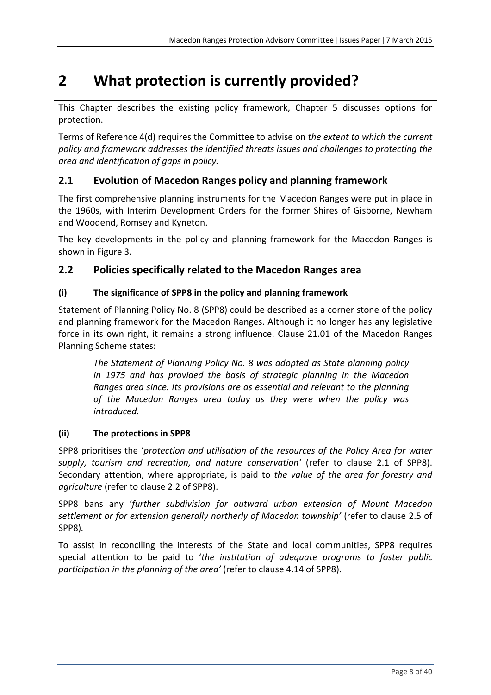# **2 What protection is currently provided?**

This Chapter describes the existing policy framework, Chapter 5 discusses options for protection.

Terms of Reference 4(d) requires the Committee to advise on *the extent to which the current policy and framework addresses the identified threats issues and challenges to protecting the area and identification of gaps in policy.*

### **2.1 Evolution of Macedon Ranges policy and planning framework**

The first comprehensive planning instruments for the Macedon Ranges were put in place in the 1960s, with Interim Development Orders for the former Shires of Gisborne, Newham and Woodend, Romsey and Kyneton.

The key developments in the policy and planning framework for the Macedon Ranges is shown in Figure 3.

### **2.2 Policies specifically related to the Macedon Ranges area**

### **(i) The significance of SPP8 in the policy and planning framework**

Statement of Planning Policy No. 8 (SPP8) could be described as a corner stone of the policy and planning framework for the Macedon Ranges. Although it no longer has any legislative force in its own right, it remains a strong influence. Clause 21.01 of the Macedon Ranges Planning Scheme states:

*The Statement of Planning Policy No. 8 was adopted as State planning policy in 1975 and has provided the basis of strategic planning in the Macedon Ranges area since. Its provisions are as essential and relevant to the planning of the Macedon Ranges area today as they were when the policy was introduced.*

### **(ii) The protections in SPP8**

SPP8 prioritises the '*protection and utilisation of the resources of the Policy Area for water supply, tourism and recreation, and nature conservation'* (refer to clause 2.1 of SPP8). Secondary attention, where appropriate, is paid to *the value of the area for forestry and agriculture* (refer to clause 2.2 of SPP8).

SPP8 bans any '*further subdivision for outward urban extension of Mount Macedon settlement or for extension generally northerly of Macedon township'* (refer to clause 2.5 of SPP8)*.* 

To assist in reconciling the interests of the State and local communities, SPP8 requires special attention to be paid to '*the institution of adequate programs to foster public participation in the planning of the area'* (refer to clause 4.14 of SPP8).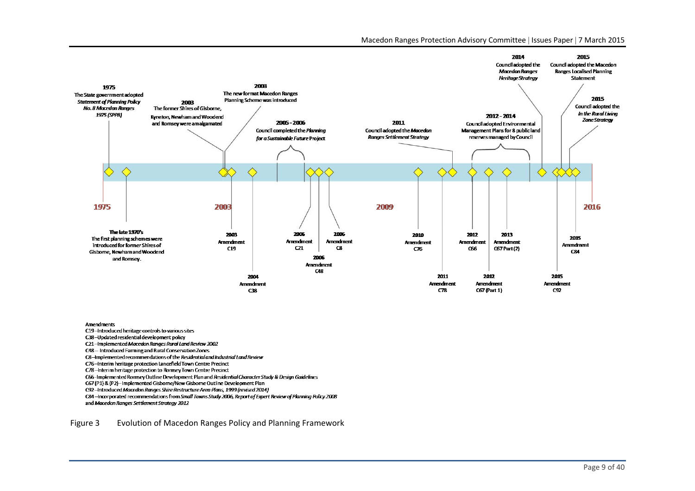

#### uvuvš•

#### Õ t/v**βE⊊§P** íõ

- ïô**ö** th‰ ‱ **©,5**iA‱y‰§
- t/u‰ouvš *Macedon Ranges Rural Land Review 2002*îí
- *C48 Introduced &arming and Rural Conservation ones*
- *C8 ʹImplemented recommendations of the Residential and Industrial Land Review*
- **C 6** *Interim heritage protection Lancefield Town Centre Precinct*
- *Cϳ8 ʹInterim heritage protection to Romsey Town Centre Precinct*
- **C66** Implemented Romsey utline Development Plan and Residential Character Study & Design Guidelines
- **C6** (P1) & (P2) *Implemented Gis orne* ew Gis orne utline Development Plan
- *C92 ʹIntroduced Macedon Ranges Shire Restructure Area Plans, 1999 (revised 2014)*

 *C84 ʹIncorporated recommendations from Small Towns Study 2006, Report of Expert Review of Planning Policy 2008 and Macedon Ranges Settlement Strategy 2012*

#### Figure 3 Evolution of Macedon Ranges Policy and Planning Framework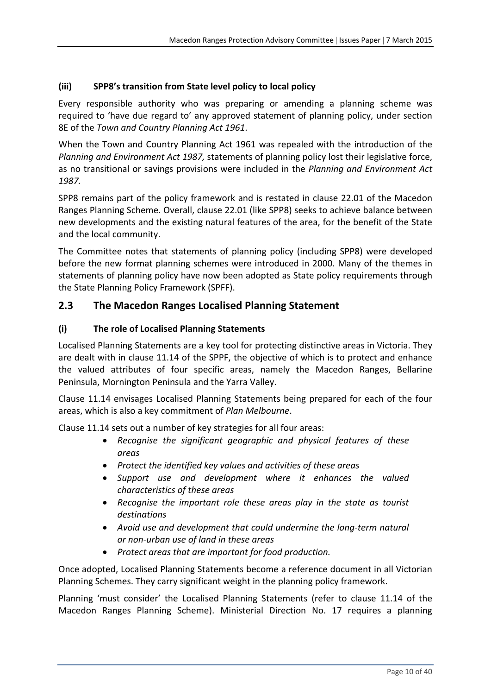### **(iii) SPP8's transition from State level policy to local policy**

Every responsible authority who was preparing or amending a planning scheme was required to 'have due regard to' any approved statement of planning policy, under section 8E of the *Town and Country Planning Act 1961*.

When the Town and Country Planning Act 1961 was repealed with the introduction of the *Planning and Environment Act 1987,* statements of planning policy lost their legislative force, as no transitional or savings provisions were included in the *Planning and Environment Act 1987.*

SPP8 remains part of the policy framework and is restated in clause 22.01 of the Macedon Ranges Planning Scheme. Overall, clause 22.01 (like SPP8) seeks to achieve balance between new developments and the existing natural features of the area, for the benefit of the State and the local community.

The Committee notes that statements of planning policy (including SPP8) were developed before the new format planning schemes were introduced in 2000. Many of the themes in statements of planning policy have now been adopted as State policy requirements through the State Planning Policy Framework (SPFF).

### **2.3 The Macedon Ranges Localised Planning Statement**

### **(i) The role of Localised Planning Statements**

Localised Planning Statements are a key tool for protecting distinctive areas in Victoria. They are dealt with in clause 11.14 of the SPPF, the objective of which is to protect and enhance the valued attributes of four specific areas, namely the Macedon Ranges, Bellarine Peninsula, Mornington Peninsula and the Yarra Valley.

Clause 11.14 envisages Localised Planning Statements being prepared for each of the four areas, which is also a key commitment of *Plan Melbourne*.

Clause 11.14 sets out a number of key strategies for all four areas:

- *Recognise the significant geographic and physical features of these areas*
- *Protect the identified key values and activities of these areas*
- *Support use and development where it enhances the valued characteristics of these areas*
- *Recognise the important role these areas play in the state as tourist destinations*
- *Avoid use and development that could undermine the long‐term natural or non‐urban use of land in these areas*
- *Protect areas that are important for food production.*

Once adopted, Localised Planning Statements become a reference document in all Victorian Planning Schemes. They carry significant weight in the planning policy framework.

Planning 'must consider' the Localised Planning Statements (refer to clause 11.14 of the Macedon Ranges Planning Scheme). Ministerial Direction No. 17 requires a planning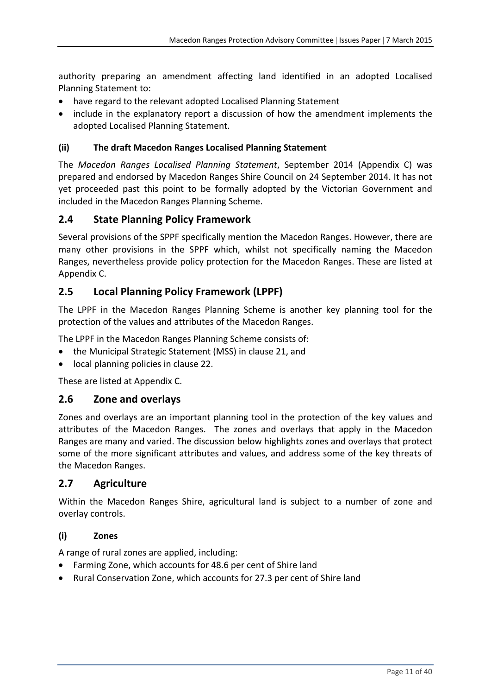authority preparing an amendment affecting land identified in an adopted Localised Planning Statement to:

- have regard to the relevant adopted Localised Planning Statement
- include in the explanatory report a discussion of how the amendment implements the adopted Localised Planning Statement.

### **(ii) The draft Macedon Ranges Localised Planning Statement**

The *Macedon Ranges Localised Planning Statement*, September 2014 (Appendix C) was prepared and endorsed by Macedon Ranges Shire Council on 24 September 2014. It has not yet proceeded past this point to be formally adopted by the Victorian Government and included in the Macedon Ranges Planning Scheme.

### **2.4 State Planning Policy Framework**

Several provisions of the SPPF specifically mention the Macedon Ranges. However, there are many other provisions in the SPPF which, whilst not specifically naming the Macedon Ranges, nevertheless provide policy protection for the Macedon Ranges. These are listed at Appendix C.

### **2.5 Local Planning Policy Framework (LPPF)**

The LPPF in the Macedon Ranges Planning Scheme is another key planning tool for the protection of the values and attributes of the Macedon Ranges.

The LPPF in the Macedon Ranges Planning Scheme consists of:

- the Municipal Strategic Statement (MSS) in clause 21, and
- local planning policies in clause 22.

These are listed at Appendix C.

### **2.6 Zone and overlays**

Zones and overlays are an important planning tool in the protection of the key values and attributes of the Macedon Ranges. The zones and overlays that apply in the Macedon Ranges are many and varied. The discussion below highlights zones and overlays that protect some of the more significant attributes and values, and address some of the key threats of the Macedon Ranges.

### **2.7 Agriculture**

Within the Macedon Ranges Shire, agricultural land is subject to a number of zone and overlay controls.

### **(i) Zones**

A range of rural zones are applied, including:

- Farming Zone, which accounts for 48.6 per cent of Shire land
- Rural Conservation Zone, which accounts for 27.3 per cent of Shire land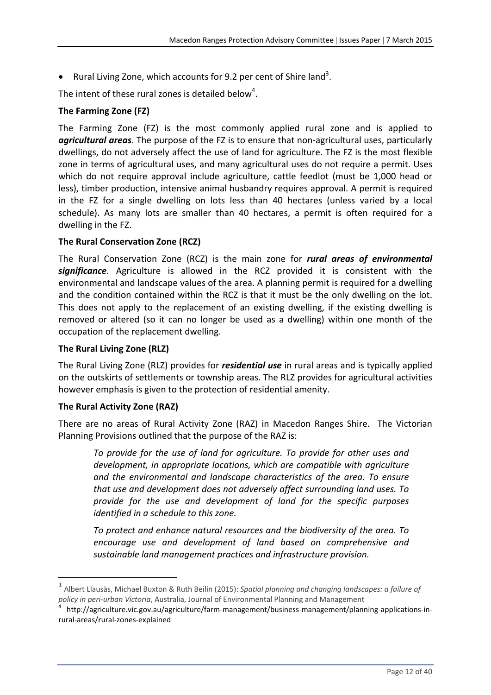• Rural Living Zone, which accounts for 9.2 per cent of Shire land<sup>3</sup>.

The intent of these rural zones is detailed below<sup>4</sup>.

### **The Farming Zone (FZ)**

The Farming Zone (FZ) is the most commonly applied rural zone and is applied to *agricultural areas*. The purpose of the FZ is to ensure that non‐agricultural uses, particularly dwellings, do not adversely affect the use of land for agriculture. The FZ is the most flexible zone in terms of agricultural uses, and many agricultural uses do not require a permit. Uses which do not require approval include agriculture, cattle feedlot (must be 1,000 head or less), timber production, intensive animal husbandry requires approval. A permit is required in the FZ for a single dwelling on lots less than 40 hectares (unless varied by a local schedule). As many lots are smaller than 40 hectares, a permit is often required for a dwelling in the FZ.

### **The Rural Conservation Zone (RCZ)**

The Rural Conservation Zone (RCZ) is the main zone for *rural areas of environmental significance*. Agriculture is allowed in the RCZ provided it is consistent with the environmental and landscape values of the area. A planning permit is required for a dwelling and the condition contained within the RCZ is that it must be the only dwelling on the lot. This does not apply to the replacement of an existing dwelling, if the existing dwelling is removed or altered (so it can no longer be used as a dwelling) within one month of the occupation of the replacement dwelling.

#### **The Rural Living Zone (RLZ)**

The Rural Living Zone (RLZ) provides for *residential use* in rural areas and is typically applied on the outskirts of settlements or township areas. The RLZ provides for agricultural activities however emphasis is given to the protection of residential amenity.

#### **The Rural Activity Zone (RAZ)**

There are no areas of Rural Activity Zone (RAZ) in Macedon Ranges Shire. The Victorian Planning Provisions outlined that the purpose of the RAZ is:

*To provide for the use of land for agriculture. To provide for other uses and development, in appropriate locations, which are compatible with agriculture and the environmental and landscape characteristics of the area. To ensure that use and development does not adversely affect surrounding land uses. To provide for the use and development of land for the specific purposes identified in a schedule to this zone.* 

*To protect and enhance natural resources and the biodiversity of the area. To encourage use and development of land based on comprehensive and sustainable land management practices and infrastructure provision.*

<sup>3</sup> Albert Llausàs, Michael Buxton & Ruth Beilin (2015): *Spatial planning and changing landscapes: a failure of* policy in peri-urban Victoria, Australia, Journal of Environmental Planning and Management<br><sup>4</sup> http://agriculture.vic.gov.au/agriculture/farm-management/business-management/planning-applications-in-

rural‐areas/rural‐zones‐explained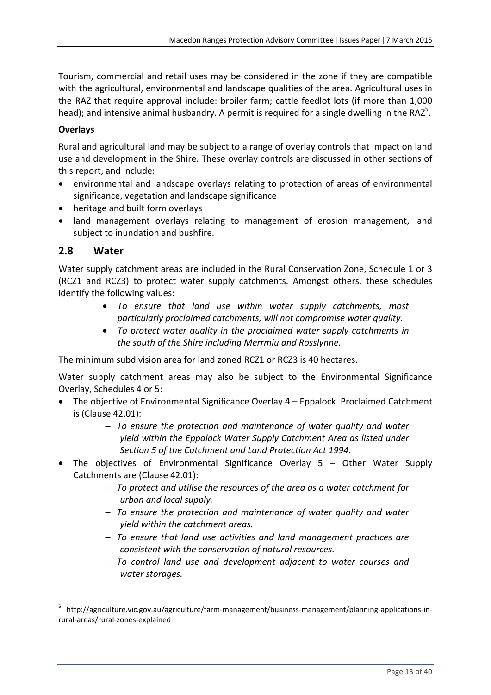Tourism, commercial and retail uses may be considered in the zone if they are compatible with the agricultural, environmental and landscape qualities of the area. Agricultural uses in the RAZ that require approval include: broiler farm; cattle feedlot lots (if more than 1,000 head); and intensive animal husbandry. A permit is required for a single dwelling in the RAZ<sup>5</sup>.

### **Overlays**

Rural and agricultural land may be subject to a range of overlay controls that impact on land use and development in the Shire. These overlay controls are discussed in other sections of this report, and include:

- environmental and landscape overlays relating to protection of areas of environmental significance, vegetation and landscape significance
- heritage and built form overlays

 land management overlays relating to management of erosion management, land subject to inundation and bushfire.

### **2.8 Water**

Water supply catchment areas are included in the Rural Conservation Zone, Schedule 1 or 3 (RCZ1 and RCZ3) to protect water supply catchments. Amongst others, these schedules identify the following values:

- *To ensure that land use within water supply catchments, most particularly proclaimed catchments, will not compromise water quality.*
- *To protect water quality in the proclaimed water supply catchments in the south of the Shire including Merrmiu and Rosslynne.*

The minimum subdivision area for land zoned RCZ1 or RCZ3 is 40 hectares.

Water supply catchment areas may also be subject to the Environmental Significance Overlay, Schedules 4 or 5:

- The objective of Environmental Significance Overlay 4 Eppalock Proclaimed Catchment is (Clause 42.01):
	- *To ensure the protection and maintenance of water quality and water yield within the Eppalock Water Supply Catchment Area as listed under Section 5 of the Catchment and Land Protection Act 1994.*
- The objectives of Environmental Significance Overlay 5 Other Water Supply Catchments are (Clause 42.01):
	- *To protect and utilise the resources of the area as a water catchment for urban and local supply.*
	- *To ensure the protection and maintenance of water quality and water yield within the catchment areas.*
	- *To ensure that land use activities and land management practices are consistent with the conservation of natural resources.*
	- *To control land use and development adjacent to water courses and water storages.*

<sup>5</sup> http://agriculture.vic.gov.au/agriculture/farm‐management/business‐management/planning‐applications‐in‐ rural‐areas/rural‐zones‐explained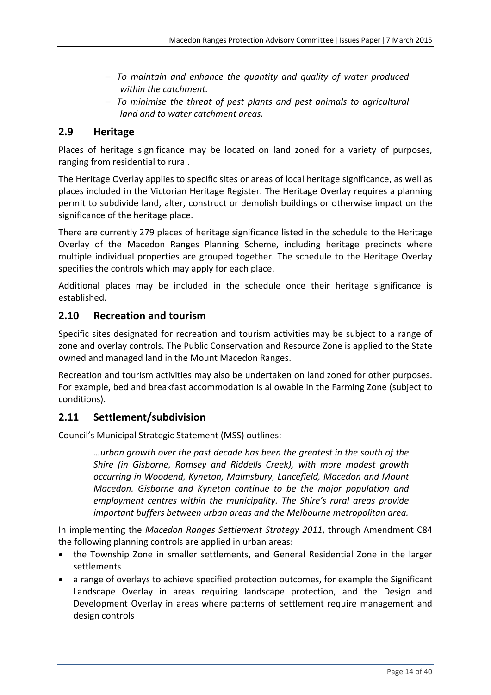- *To maintain and enhance the quantity and quality of water produced within the catchment.*
- *To minimise the threat of pest plants and pest animals to agricultural land and to water catchment areas.*

### **2.9 Heritage**

Places of heritage significance may be located on land zoned for a variety of purposes, ranging from residential to rural.

The Heritage Overlay applies to specific sites or areas of local heritage significance, as well as places included in the Victorian Heritage Register. The Heritage Overlay requires a planning permit to subdivide land, alter, construct or demolish buildings or otherwise impact on the significance of the heritage place.

There are currently 279 places of heritage significance listed in the schedule to the Heritage Overlay of the Macedon Ranges Planning Scheme, including heritage precincts where multiple individual properties are grouped together. The schedule to the Heritage Overlay specifies the controls which may apply for each place.

Additional places may be included in the schedule once their heritage significance is established.

### **2.10 Recreation and tourism**

Specific sites designated for recreation and tourism activities may be subject to a range of zone and overlay controls. The Public Conservation and Resource Zone is applied to the State owned and managed land in the Mount Macedon Ranges.

Recreation and tourism activities may also be undertaken on land zoned for other purposes. For example, bed and breakfast accommodation is allowable in the Farming Zone (subject to conditions).

### **2.11 Settlement/subdivision**

Council's Municipal Strategic Statement (MSS) outlines:

*…urban growth over the past decade has been the greatest in the south of the Shire (in Gisborne, Romsey and Riddells Creek), with more modest growth occurring in Woodend, Kyneton, Malmsbury, Lancefield, Macedon and Mount Macedon. Gisborne and Kyneton continue to be the major population and employment centres within the municipality. The Shire's rural areas provide important buffers between urban areas and the Melbourne metropolitan area.*

In implementing the *Macedon Ranges Settlement Strategy 2011*, through Amendment C84 the following planning controls are applied in urban areas:

- the Township Zone in smaller settlements, and General Residential Zone in the larger settlements
- a range of overlays to achieve specified protection outcomes, for example the Significant Landscape Overlay in areas requiring landscape protection, and the Design and Development Overlay in areas where patterns of settlement require management and design controls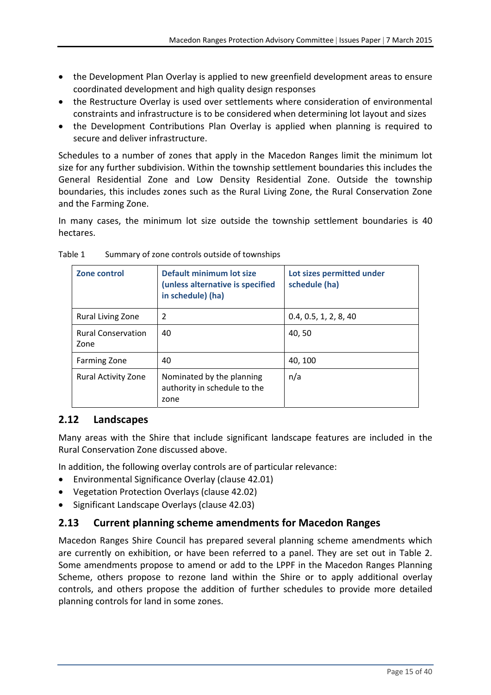- the Development Plan Overlay is applied to new greenfield development areas to ensure coordinated development and high quality design responses
- the Restructure Overlay is used over settlements where consideration of environmental constraints and infrastructure is to be considered when determining lot layout and sizes
- the Development Contributions Plan Overlay is applied when planning is required to secure and deliver infrastructure.

Schedules to a number of zones that apply in the Macedon Ranges limit the minimum lot size for any further subdivision. Within the township settlement boundaries this includes the General Residential Zone and Low Density Residential Zone. Outside the township boundaries, this includes zones such as the Rural Living Zone, the Rural Conservation Zone and the Farming Zone.

In many cases, the minimum lot size outside the township settlement boundaries is 40 hectares.

| Zone control                      | Default minimum lot size<br>(unless alternative is specified<br>in schedule) (ha) | Lot sizes permitted under<br>schedule (ha) |
|-----------------------------------|-----------------------------------------------------------------------------------|--------------------------------------------|
| <b>Rural Living Zone</b>          | 2                                                                                 | 0.4, 0.5, 1, 2, 8, 40                      |
| <b>Rural Conservation</b><br>Zone | 40                                                                                | 40, 50                                     |
| <b>Farming Zone</b>               | 40                                                                                | 40, 100                                    |
| <b>Rural Activity Zone</b>        | Nominated by the planning<br>authority in schedule to the<br>zone                 | n/a                                        |

Table 1 Summary of zone controls outside of townships

### **2.12 Landscapes**

Many areas with the Shire that include significant landscape features are included in the Rural Conservation Zone discussed above.

In addition, the following overlay controls are of particular relevance:

- Environmental Significance Overlay (clause 42.01)
- Vegetation Protection Overlays (clause 42.02)
- Significant Landscape Overlays (clause 42.03)

### **2.13 Current planning scheme amendments for Macedon Ranges**

Macedon Ranges Shire Council has prepared several planning scheme amendments which are currently on exhibition, or have been referred to a panel. They are set out in Table 2. Some amendments propose to amend or add to the LPPF in the Macedon Ranges Planning Scheme, others propose to rezone land within the Shire or to apply additional overlay controls, and others propose the addition of further schedules to provide more detailed planning controls for land in some zones.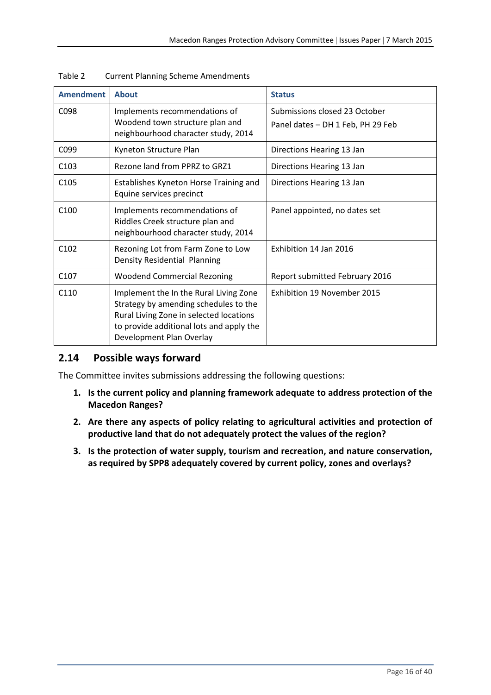| <b>Amendment</b> | <b>About</b>                                                                                                                                                                                       | <b>Status</b>                                                      |
|------------------|----------------------------------------------------------------------------------------------------------------------------------------------------------------------------------------------------|--------------------------------------------------------------------|
| C098             | Implements recommendations of<br>Woodend town structure plan and<br>neighbourhood character study, 2014                                                                                            | Submissions closed 23 October<br>Panel dates - DH 1 Feb, PH 29 Feb |
| C <sub>099</sub> | Kyneton Structure Plan                                                                                                                                                                             | Directions Hearing 13 Jan                                          |
| C <sub>103</sub> | Rezone land from PPRZ to GRZ1                                                                                                                                                                      | Directions Hearing 13 Jan                                          |
| C <sub>105</sub> | Establishes Kyneton Horse Training and<br>Equine services precinct                                                                                                                                 | Directions Hearing 13 Jan                                          |
| C100             | Implements recommendations of<br>Riddles Creek structure plan and<br>neighbourhood character study, 2014                                                                                           | Panel appointed, no dates set                                      |
| C <sub>102</sub> | Rezoning Lot from Farm Zone to Low<br>Density Residential Planning                                                                                                                                 | Exhibition 14 Jan 2016                                             |
| C <sub>107</sub> | <b>Woodend Commercial Rezoning</b>                                                                                                                                                                 | Report submitted February 2016                                     |
| C110             | Implement the In the Rural Living Zone<br>Strategy by amending schedules to the<br>Rural Living Zone in selected locations<br>to provide additional lots and apply the<br>Development Plan Overlay | <b>Exhibition 19 November 2015</b>                                 |

| Table 2 | <b>Current Planning Scheme Amendments</b> |
|---------|-------------------------------------------|
|---------|-------------------------------------------|

### **2.14 Possible ways forward**

The Committee invites submissions addressing the following questions:

- **1. Is the current policy and planning framework adequate to address protection of the Macedon Ranges?**
- **2. Are there any aspects of policy relating to agricultural activities and protection of productive land that do not adequately protect the values of the region?**
- **3. Is the protection of water supply, tourism and recreation, and nature conservation, as required by SPP8 adequately covered by current policy, zones and overlays?**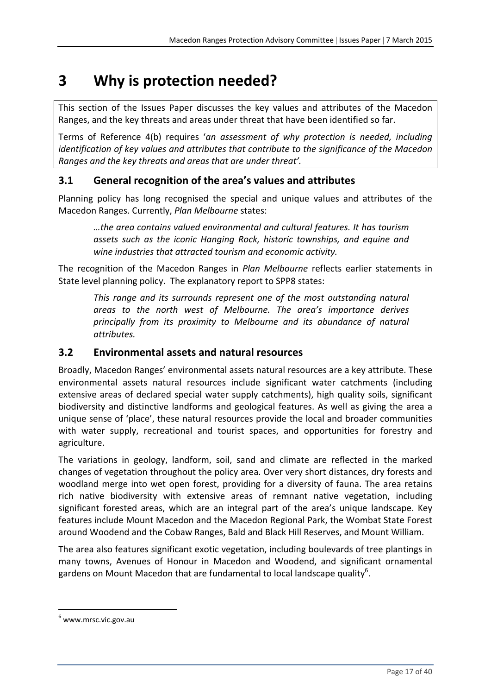# **3 Why is protection needed?**

This section of the Issues Paper discusses the key values and attributes of the Macedon Ranges, and the key threats and areas under threat that have been identified so far.

Terms of Reference 4(b) requires '*an assessment of why protection is needed, including identification of key values and attributes that contribute to the significance of the Macedon Ranges and the key threats and areas that are under threat'.*

### **3.1 General recognition of the area's values and attributes**

Planning policy has long recognised the special and unique values and attributes of the Macedon Ranges. Currently, *Plan Melbourne* states:

*…the area contains valued environmental and cultural features. It has tourism assets such as the iconic Hanging Rock, historic townships, and equine and wine industries that attracted tourism and economic activity.*

The recognition of the Macedon Ranges in *Plan Melbourne* reflects earlier statements in State level planning policy. The explanatory report to SPP8 states:

*This range and its surrounds represent one of the most outstanding natural areas to the north west of Melbourne. The area's importance derives principally from its proximity to Melbourne and its abundance of natural attributes.*

### **3.2 Environmental assets and natural resources**

Broadly, Macedon Ranges' environmental assets natural resources are a key attribute. These environmental assets natural resources include significant water catchments (including extensive areas of declared special water supply catchments), high quality soils, significant biodiversity and distinctive landforms and geological features. As well as giving the area a unique sense of 'place', these natural resources provide the local and broader communities with water supply, recreational and tourist spaces, and opportunities for forestry and agriculture.

The variations in geology, landform, soil, sand and climate are reflected in the marked changes of vegetation throughout the policy area. Over very short distances, dry forests and woodland merge into wet open forest, providing for a diversity of fauna. The area retains rich native biodiversity with extensive areas of remnant native vegetation, including significant forested areas, which are an integral part of the area's unique landscape. Key features include Mount Macedon and the Macedon Regional Park, the Wombat State Forest around Woodend and the Cobaw Ranges, Bald and Black Hill Reserves, and Mount William.

The area also features significant exotic vegetation, including boulevards of tree plantings in many towns, Avenues of Honour in Macedon and Woodend, and significant ornamental gardens on Mount Macedon that are fundamental to local landscape quality<sup>6</sup>.

 $6$  www.mrsc.vic.gov.au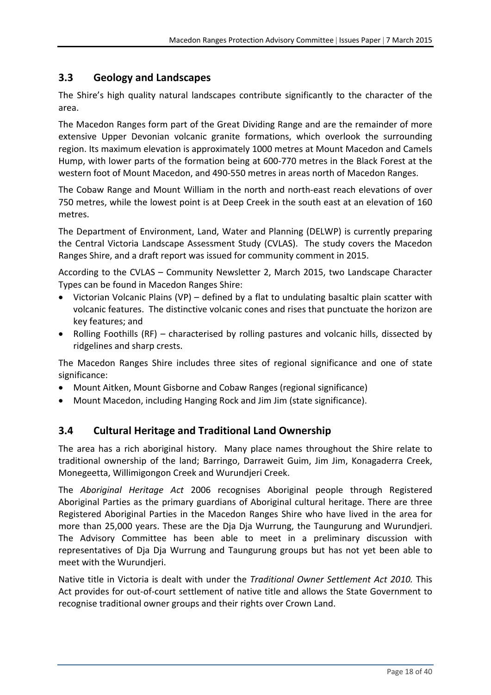### **3.3 Geology and Landscapes**

The Shire's high quality natural landscapes contribute significantly to the character of the area.

The Macedon Ranges form part of the Great Dividing Range and are the remainder of more extensive Upper Devonian volcanic granite formations, which overlook the surrounding region. Its maximum elevation is approximately 1000 metres at Mount Macedon and Camels Hump, with lower parts of the formation being at 600‐770 metres in the Black Forest at the western foot of Mount Macedon, and 490‐550 metres in areas north of Macedon Ranges.

The Cobaw Range and Mount William in the north and north‐east reach elevations of over 750 metres, while the lowest point is at Deep Creek in the south east at an elevation of 160 metres.

The Department of Environment, Land, Water and Planning (DELWP) is currently preparing the Central Victoria Landscape Assessment Study (CVLAS). The study covers the Macedon Ranges Shire, and a draft report was issued for community comment in 2015.

According to the CVLAS – Community Newsletter 2, March 2015, two Landscape Character Types can be found in Macedon Ranges Shire:

- Victorian Volcanic Plains (VP) defined by a flat to undulating basaltic plain scatter with volcanic features. The distinctive volcanic cones and rises that punctuate the horizon are key features; and
- Rolling Foothills (RF) characterised by rolling pastures and volcanic hills, dissected by ridgelines and sharp crests.

The Macedon Ranges Shire includes three sites of regional significance and one of state significance:

- Mount Aitken, Mount Gisborne and Cobaw Ranges (regional significance)
- Mount Macedon, including Hanging Rock and Jim Jim (state significance).

### **3.4 Cultural Heritage and Traditional Land Ownership**

The area has a rich aboriginal history. Many place names throughout the Shire relate to traditional ownership of the land; Barringo, Darraweit Guim, Jim Jim, Konagaderra Creek, Monegeetta, Willimigongon Creek and Wurundjeri Creek.

The *Aboriginal Heritage Act* 2006 recognises Aboriginal people through Registered Aboriginal Parties as the primary guardians of Aboriginal cultural heritage. There are three Registered Aboriginal Parties in the Macedon Ranges Shire who have lived in the area for more than 25,000 years. These are the Dja Dja Wurrung, the Taungurung and Wurundjeri. The Advisory Committee has been able to meet in a preliminary discussion with representatives of Dja Dja Wurrung and Taungurung groups but has not yet been able to meet with the Wurundjeri.

Native title in Victoria is dealt with under the *Traditional Owner Settlement Act 2010.* This Act provides for out‐of‐court settlement of native title and allows the State Government to recognise traditional owner groups and their rights over Crown Land.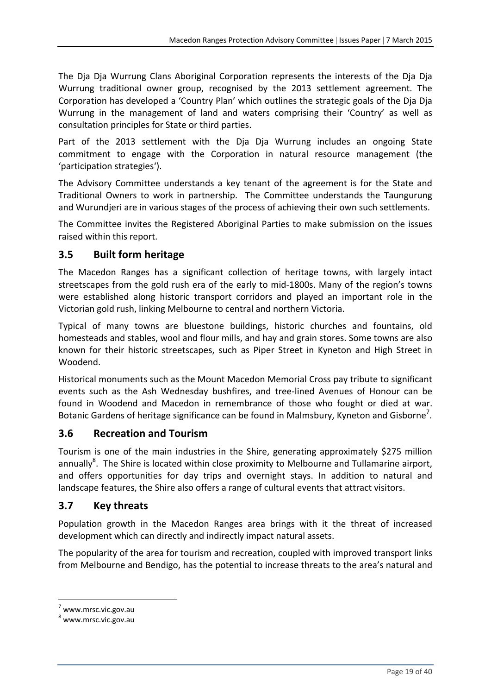The Dja Dja Wurrung Clans Aboriginal Corporation represents the interests of the Dja Dja Wurrung traditional owner group, recognised by the 2013 settlement agreement. The Corporation has developed a 'Country Plan' which outlines the strategic goals of the Dja Dja Wurrung in the management of land and waters comprising their 'Country' as well as consultation principles for State or third parties.

Part of the 2013 settlement with the Dja Dja Wurrung includes an ongoing State commitment to engage with the Corporation in natural resource management (the 'participation strategies').

The Advisory Committee understands a key tenant of the agreement is for the State and Traditional Owners to work in partnership. The Committee understands the Taungurung and Wurundjeri are in various stages of the process of achieving their own such settlements.

The Committee invites the Registered Aboriginal Parties to make submission on the issues raised within this report.

### **3.5 Built form heritage**

The Macedon Ranges has a significant collection of heritage towns, with largely intact streetscapes from the gold rush era of the early to mid‐1800s. Many of the region's towns were established along historic transport corridors and played an important role in the Victorian gold rush, linking Melbourne to central and northern Victoria.

Typical of many towns are bluestone buildings, historic churches and fountains, old homesteads and stables, wool and flour mills, and hay and grain stores. Some towns are also known for their historic streetscapes, such as Piper Street in Kyneton and High Street in Woodend.

Historical monuments such as the Mount Macedon Memorial Cross pay tribute to significant events such as the Ash Wednesday bushfires, and tree‐lined Avenues of Honour can be found in Woodend and Macedon in remembrance of those who fought or died at war. Botanic Gardens of heritage significance can be found in Malmsbury, Kyneton and Gisborne<sup>7</sup>.

### **3.6 Recreation and Tourism**

Tourism is one of the main industries in the Shire, generating approximately \$275 million annually<sup>8</sup>. The Shire is located within close proximity to Melbourne and Tullamarine airport, and offers opportunities for day trips and overnight stays. In addition to natural and landscape features, the Shire also offers a range of cultural events that attract visitors.

### **3.7 Key threats**

Population growth in the Macedon Ranges area brings with it the threat of increased development which can directly and indirectly impact natural assets.

The popularity of the area for tourism and recreation, coupled with improved transport links from Melbourne and Bendigo, has the potential to increase threats to the area's natural and

 $7$  www.mrsc.vic.gov.au

 $^8$  www.mrsc.vic.gov.au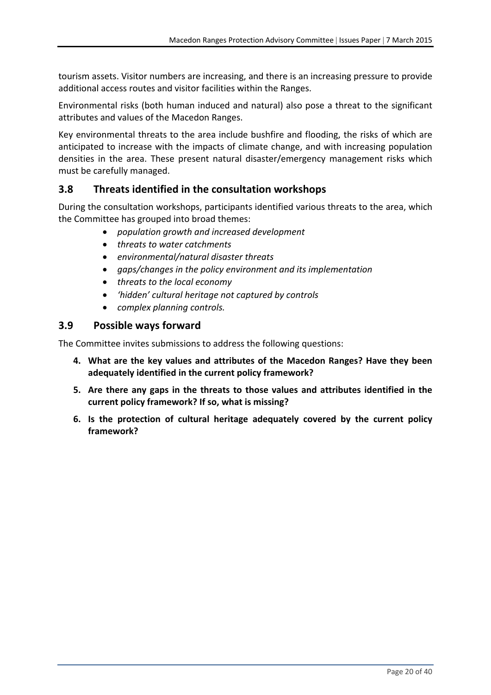tourism assets. Visitor numbers are increasing, and there is an increasing pressure to provide additional access routes and visitor facilities within the Ranges.

Environmental risks (both human induced and natural) also pose a threat to the significant attributes and values of the Macedon Ranges.

Key environmental threats to the area include bushfire and flooding, the risks of which are anticipated to increase with the impacts of climate change, and with increasing population densities in the area. These present natural disaster/emergency management risks which must be carefully managed.

### **3.8 Threats identified in the consultation workshops**

During the consultation workshops, participants identified various threats to the area, which the Committee has grouped into broad themes:

- *population growth and increased development*
- *threats to water catchments*
- *environmental/natural disaster threats*
- *gaps/changes in the policy environment and its implementation*
- *threats to the local economy*
- *'hidden' cultural heritage not captured by controls*
- *complex planning controls.*

### **3.9 Possible ways forward**

The Committee invites submissions to address the following questions:

- **4. What are the key values and attributes of the Macedon Ranges? Have they been adequately identified in the current policy framework?**
- **5. Are there any gaps in the threats to those values and attributes identified in the current policy framework? If so, what is missing?**
- **6. Is the protection of cultural heritage adequately covered by the current policy framework?**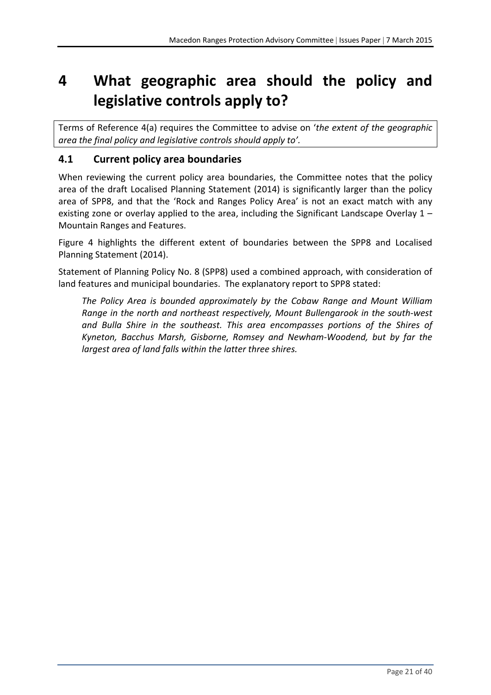# **4 What geographic area should the policy and legislative controls apply to?**

Terms of Reference 4(a) requires the Committee to advise on '*the extent of the geographic area the final policy and legislative controls should apply to'.*

### **4.1 Current policy area boundaries**

When reviewing the current policy area boundaries, the Committee notes that the policy area of the draft Localised Planning Statement (2014) is significantly larger than the policy area of SPP8, and that the 'Rock and Ranges Policy Area' is not an exact match with any existing zone or overlay applied to the area, including the Significant Landscape Overlay 1 – Mountain Ranges and Features.

Figure 4 highlights the different extent of boundaries between the SPP8 and Localised Planning Statement (2014).

Statement of Planning Policy No. 8 (SPP8) used a combined approach, with consideration of land features and municipal boundaries. The explanatory report to SPP8 stated:

*The Policy Area is bounded approximately by the Cobaw Range and Mount William Range in the north and northeast respectively, Mount Bullengarook in the south‐west and Bulla Shire in the southeast. This area encompasses portions of the Shires of Kyneton, Bacchus Marsh, Gisborne, Romsey and Newham‐Woodend, but by far the largest area of land falls within the latter three shires.*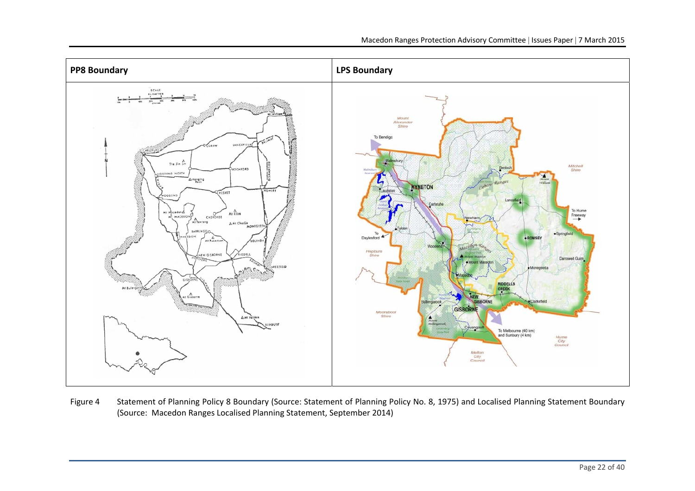

Figure 4 Statement of Planning Policy 8 Boundary (Source: Statement of Planning Policy No. 8, 1975) and Localised Planning Statement Boundary (Source: Macedon Ranges Localised Planning Statement, September 2014)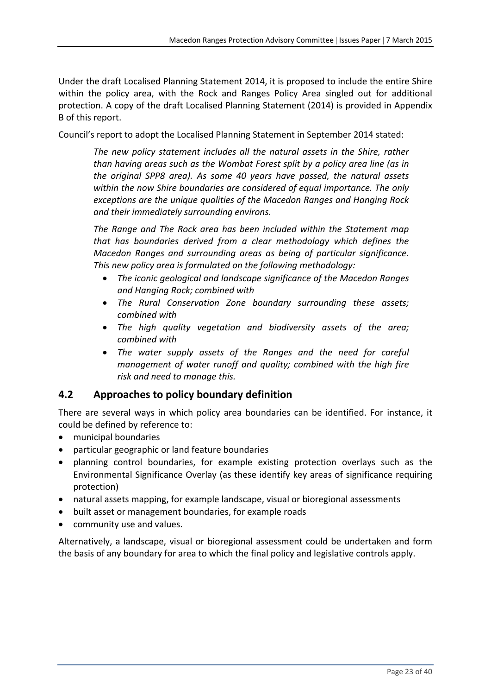Under the draft Localised Planning Statement 2014, it is proposed to include the entire Shire within the policy area, with the Rock and Ranges Policy Area singled out for additional protection. A copy of the draft Localised Planning Statement (2014) is provided in Appendix B of this report.

Council's report to adopt the Localised Planning Statement in September 2014 stated:

*The new policy statement includes all the natural assets in the Shire, rather than having areas such as the Wombat Forest split by a policy area line (as in the original SPP8 area). As some 40 years have passed, the natural assets within the now Shire boundaries are considered of equal importance. The only exceptions are the unique qualities of the Macedon Ranges and Hanging Rock and their immediately surrounding environs.*

*The Range and The Rock area has been included within the Statement map that has boundaries derived from a clear methodology which defines the Macedon Ranges and surrounding areas as being of particular significance. This new policy area is formulated on the following methodology:*

- *The iconic geological and landscape significance of the Macedon Ranges and Hanging Rock; combined with*
- *The Rural Conservation Zone boundary surrounding these assets; combined with*
- *The high quality vegetation and biodiversity assets of the area; combined with*
- *The water supply assets of the Ranges and the need for careful management of water runoff and quality; combined with the high fire risk and need to manage this.*

### **4.2 Approaches to policy boundary definition**

There are several ways in which policy area boundaries can be identified. For instance, it could be defined by reference to:

- municipal boundaries
- particular geographic or land feature boundaries
- planning control boundaries, for example existing protection overlays such as the Environmental Significance Overlay (as these identify key areas of significance requiring protection)
- natural assets mapping, for example landscape, visual or bioregional assessments
- built asset or management boundaries, for example roads
- community use and values.

Alternatively, a landscape, visual or bioregional assessment could be undertaken and form the basis of any boundary for area to which the final policy and legislative controls apply.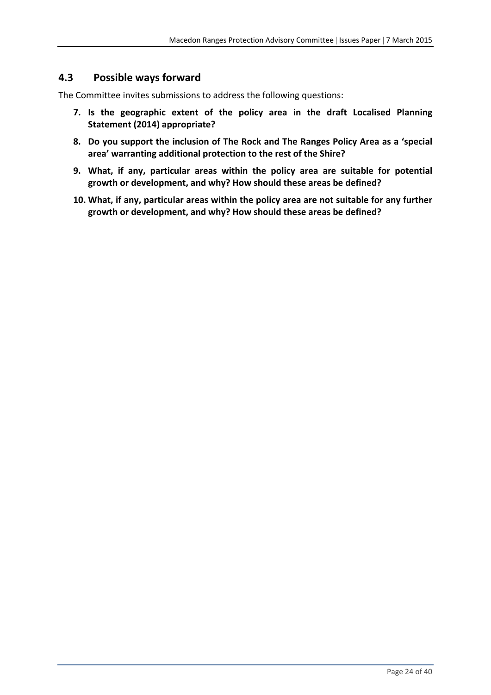### **4.3 Possible ways forward**

The Committee invites submissions to address the following questions:

- **7. Is the geographic extent of the policy area in the draft Localised Planning Statement (2014) appropriate?**
- **8. Do you support the inclusion of The Rock and The Ranges Policy Area as a 'special area' warranting additional protection to the rest of the Shire?**
- **9. What, if any, particular areas within the policy area are suitable for potential growth or development, and why? How should these areas be defined?**
- **10. What, if any, particular areas within the policy area are not suitable for any further growth or development, and why? How should these areas be defined?**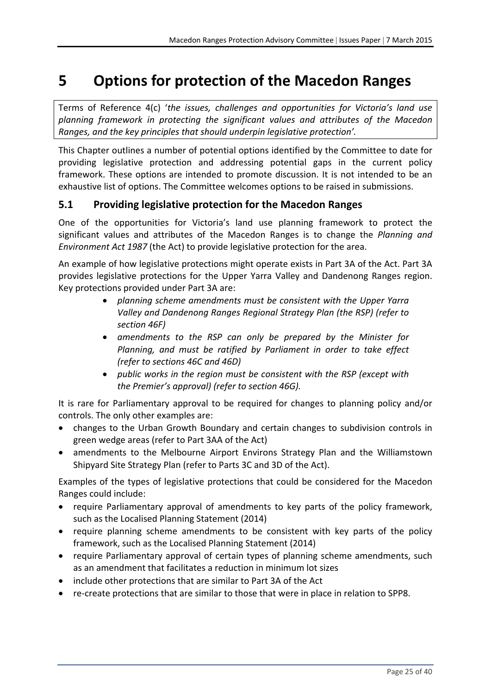# **5 Options for protection of the Macedon Ranges**

Terms of Reference 4(c) '*the issues, challenges and opportunities for Victoria's land use planning framework in protecting the significant values and attributes of the Macedon Ranges, and the key principles that should underpin legislative protection'.*

This Chapter outlines a number of potential options identified by the Committee to date for providing legislative protection and addressing potential gaps in the current policy framework. These options are intended to promote discussion. It is not intended to be an exhaustive list of options. The Committee welcomes options to be raised in submissions.

### **5.1 Providing legislative protection for the Macedon Ranges**

One of the opportunities for Victoria's land use planning framework to protect the significant values and attributes of the Macedon Ranges is to change the *Planning and Environment Act 1987* (the Act) to provide legislative protection for the area.

An example of how legislative protections might operate exists in Part 3A of the Act. Part 3A provides legislative protections for the Upper Yarra Valley and Dandenong Ranges region. Key protections provided under Part 3A are:

- *planning scheme amendments must be consistent with the Upper Yarra Valley and Dandenong Ranges Regional Strategy Plan (the RSP) (refer to section 46F)*
- *amendments to the RSP can only be prepared by the Minister for Planning, and must be ratified by Parliament in order to take effect (refer to sections 46C and 46D)*
- *public works in the region must be consistent with the RSP (except with the Premier's approval) (refer to section 46G).*

It is rare for Parliamentary approval to be required for changes to planning policy and/or controls. The only other examples are:

- changes to the Urban Growth Boundary and certain changes to subdivision controls in green wedge areas (refer to Part 3AA of the Act)
- amendments to the Melbourne Airport Environs Strategy Plan and the Williamstown Shipyard Site Strategy Plan (refer to Parts 3C and 3D of the Act).

Examples of the types of legislative protections that could be considered for the Macedon Ranges could include:

- require Parliamentary approval of amendments to key parts of the policy framework, such as the Localised Planning Statement (2014)
- require planning scheme amendments to be consistent with key parts of the policy framework, such as the Localised Planning Statement (2014)
- require Parliamentary approval of certain types of planning scheme amendments, such as an amendment that facilitates a reduction in minimum lot sizes
- include other protections that are similar to Part 3A of the Act
- re-create protections that are similar to those that were in place in relation to SPP8.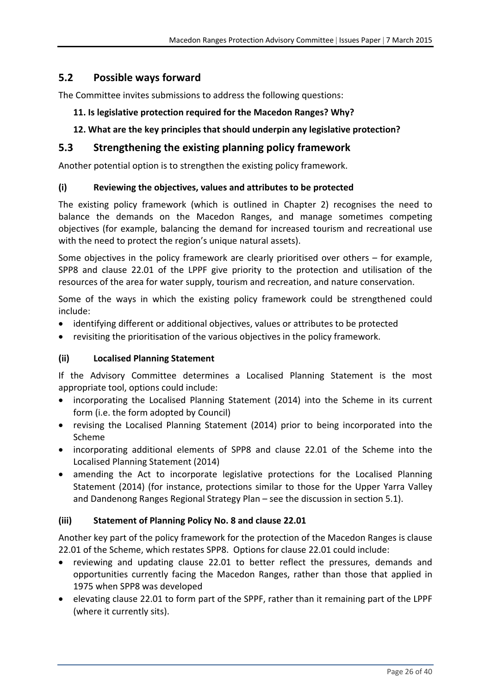### **5.2 Possible ways forward**

The Committee invites submissions to address the following questions:

### **11. Is legislative protection required for the Macedon Ranges? Why?**

### **12. What are the key principles that should underpin any legislative protection?**

### **5.3 Strengthening the existing planning policy framework**

Another potential option is to strengthen the existing policy framework.

### **(i) Reviewing the objectives, values and attributes to be protected**

The existing policy framework (which is outlined in Chapter 2) recognises the need to balance the demands on the Macedon Ranges, and manage sometimes competing objectives (for example, balancing the demand for increased tourism and recreational use with the need to protect the region's unique natural assets).

Some objectives in the policy framework are clearly prioritised over others – for example, SPP8 and clause 22.01 of the LPPF give priority to the protection and utilisation of the resources of the area for water supply, tourism and recreation, and nature conservation.

Some of the ways in which the existing policy framework could be strengthened could include:

- identifying different or additional objectives, values or attributes to be protected
- revisiting the prioritisation of the various objectives in the policy framework.

#### **(ii) Localised Planning Statement**

If the Advisory Committee determines a Localised Planning Statement is the most appropriate tool, options could include:

- incorporating the Localised Planning Statement (2014) into the Scheme in its current form (i.e. the form adopted by Council)
- revising the Localised Planning Statement (2014) prior to being incorporated into the Scheme
- incorporating additional elements of SPP8 and clause 22.01 of the Scheme into the Localised Planning Statement (2014)
- amending the Act to incorporate legislative protections for the Localised Planning Statement (2014) (for instance, protections similar to those for the Upper Yarra Valley and Dandenong Ranges Regional Strategy Plan – see the discussion in section 5.1).

### **(iii) Statement of Planning Policy No. 8 and clause 22.01**

Another key part of the policy framework for the protection of the Macedon Ranges is clause 22.01 of the Scheme, which restates SPP8. Options for clause 22.01 could include:

- reviewing and updating clause 22.01 to better reflect the pressures, demands and opportunities currently facing the Macedon Ranges, rather than those that applied in 1975 when SPP8 was developed
- elevating clause 22.01 to form part of the SPPF, rather than it remaining part of the LPPF (where it currently sits).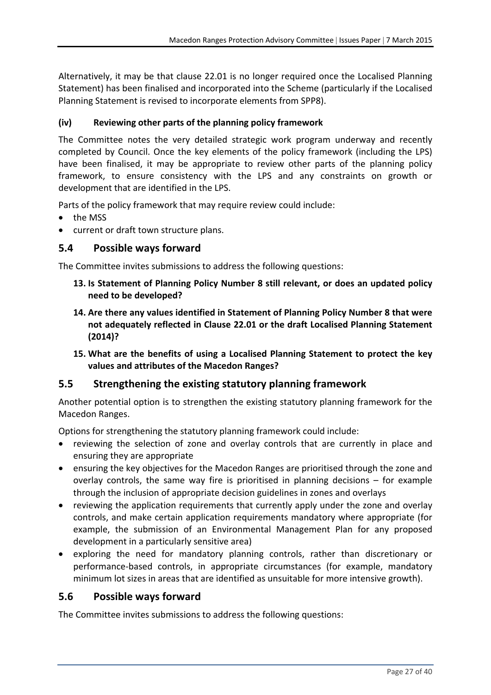Alternatively, it may be that clause 22.01 is no longer required once the Localised Planning Statement) has been finalised and incorporated into the Scheme (particularly if the Localised Planning Statement is revised to incorporate elements from SPP8).

### **(iv) Reviewing other parts of the planning policy framework**

The Committee notes the very detailed strategic work program underway and recently completed by Council. Once the key elements of the policy framework (including the LPS) have been finalised, it may be appropriate to review other parts of the planning policy framework, to ensure consistency with the LPS and any constraints on growth or development that are identified in the LPS.

Parts of the policy framework that may require review could include:

- the MSS
- current or draft town structure plans.

### **5.4 Possible ways forward**

The Committee invites submissions to address the following questions:

- **13. Is Statement of Planning Policy Number 8 still relevant, or does an updated policy need to be developed?**
- **14. Are there any values identified in Statement of Planning Policy Number 8 that were not adequately reflected in Clause 22.01 or the draft Localised Planning Statement (2014)?**
- **15. What are the benefits of using a Localised Planning Statement to protect the key values and attributes of the Macedon Ranges?**

### **5.5 Strengthening the existing statutory planning framework**

Another potential option is to strengthen the existing statutory planning framework for the Macedon Ranges.

Options for strengthening the statutory planning framework could include:

- reviewing the selection of zone and overlay controls that are currently in place and ensuring they are appropriate
- ensuring the key objectives for the Macedon Ranges are prioritised through the zone and overlay controls, the same way fire is prioritised in planning decisions – for example through the inclusion of appropriate decision guidelines in zones and overlays
- reviewing the application requirements that currently apply under the zone and overlay controls, and make certain application requirements mandatory where appropriate (for example, the submission of an Environmental Management Plan for any proposed development in a particularly sensitive area)
- exploring the need for mandatory planning controls, rather than discretionary or performance-based controls, in appropriate circumstances (for example, mandatory minimum lot sizes in areas that are identified as unsuitable for more intensive growth).

### **5.6 Possible ways forward**

The Committee invites submissions to address the following questions: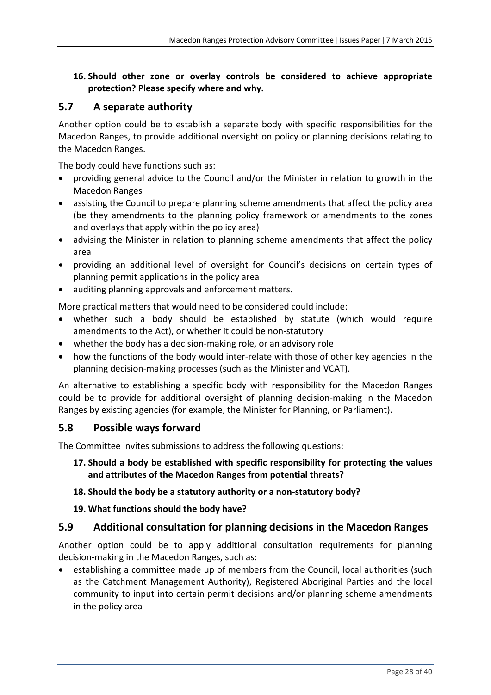**16. Should other zone or overlay controls be considered to achieve appropriate protection? Please specify where and why.**

### **5.7 A separate authority**

Another option could be to establish a separate body with specific responsibilities for the Macedon Ranges, to provide additional oversight on policy or planning decisions relating to the Macedon Ranges.

The body could have functions such as:

- providing general advice to the Council and/or the Minister in relation to growth in the Macedon Ranges
- assisting the Council to prepare planning scheme amendments that affect the policy area (be they amendments to the planning policy framework or amendments to the zones and overlays that apply within the policy area)
- advising the Minister in relation to planning scheme amendments that affect the policy area
- providing an additional level of oversight for Council's decisions on certain types of planning permit applications in the policy area
- auditing planning approvals and enforcement matters.

More practical matters that would need to be considered could include:

- whether such a body should be established by statute (which would require amendments to the Act), or whether it could be non‐statutory
- whether the body has a decision-making role, or an advisory role
- how the functions of the body would inter-relate with those of other key agencies in the planning decision‐making processes (such as the Minister and VCAT).

An alternative to establishing a specific body with responsibility for the Macedon Ranges could be to provide for additional oversight of planning decision‐making in the Macedon Ranges by existing agencies (for example, the Minister for Planning, or Parliament).

### **5.8 Possible ways forward**

The Committee invites submissions to address the following questions:

**17. Should a body be established with specific responsibility for protecting the values and attributes of the Macedon Ranges from potential threats?** 

### **18. Should the body be a statutory authority or a non‐statutory body?**

### **19. What functions should the body have?**

### **5.9 Additional consultation for planning decisions in the Macedon Ranges**

Another option could be to apply additional consultation requirements for planning decision‐making in the Macedon Ranges, such as:

 establishing a committee made up of members from the Council, local authorities (such as the Catchment Management Authority), Registered Aboriginal Parties and the local community to input into certain permit decisions and/or planning scheme amendments in the policy area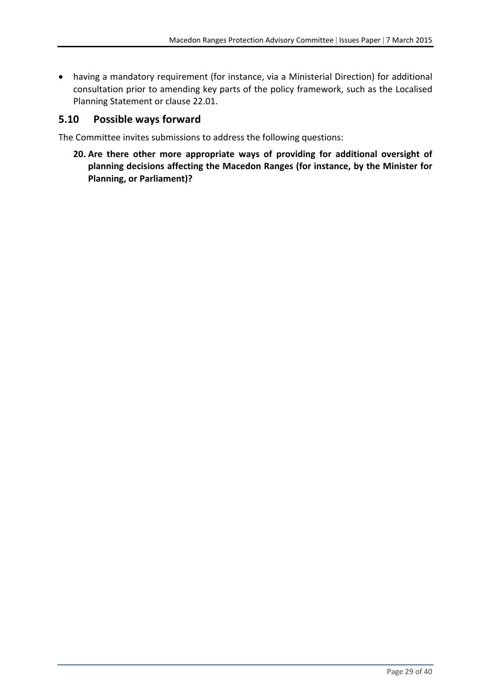having a mandatory requirement (for instance, via a Ministerial Direction) for additional consultation prior to amending key parts of the policy framework, such as the Localised Planning Statement or clause 22.01.

### **5.10 Possible ways forward**

The Committee invites submissions to address the following questions:

**20. Are there other more appropriate ways of providing for additional oversight of planning decisions affecting the Macedon Ranges (for instance, by the Minister for Planning, or Parliament)?**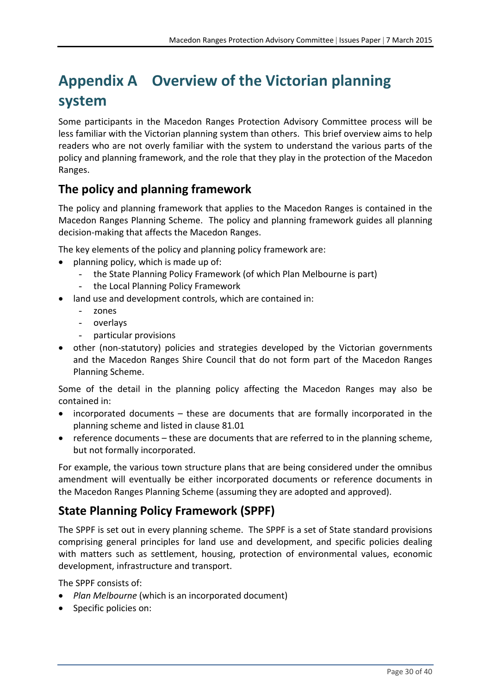# **Appendix A Overview of the Victorian planning system**

Some participants in the Macedon Ranges Protection Advisory Committee process will be less familiar with the Victorian planning system than others. This brief overview aims to help readers who are not overly familiar with the system to understand the various parts of the policy and planning framework, and the role that they play in the protection of the Macedon Ranges.

## **The policy and planning framework**

The policy and planning framework that applies to the Macedon Ranges is contained in the Macedon Ranges Planning Scheme. The policy and planning framework guides all planning decision‐making that affects the Macedon Ranges.

The key elements of the policy and planning policy framework are:

- planning policy, which is made up of:
	- the State Planning Policy Framework (of which Plan Melbourne is part)
	- the Local Planning Policy Framework
- land use and development controls, which are contained in:
	- zones
	- overlays
	- particular provisions
- other (non-statutory) policies and strategies developed by the Victorian governments and the Macedon Ranges Shire Council that do not form part of the Macedon Ranges Planning Scheme.

Some of the detail in the planning policy affecting the Macedon Ranges may also be contained in:

- incorporated documents these are documents that are formally incorporated in the planning scheme and listed in clause 81.01
- reference documents these are documents that are referred to in the planning scheme, but not formally incorporated.

For example, the various town structure plans that are being considered under the omnibus amendment will eventually be either incorporated documents or reference documents in the Macedon Ranges Planning Scheme (assuming they are adopted and approved).

## **State Planning Policy Framework (SPPF)**

The SPPF is set out in every planning scheme. The SPPF is a set of State standard provisions comprising general principles for land use and development, and specific policies dealing with matters such as settlement, housing, protection of environmental values, economic development, infrastructure and transport.

The SPPF consists of:

- *Plan Melbourne* (which is an incorporated document)
- Specific policies on: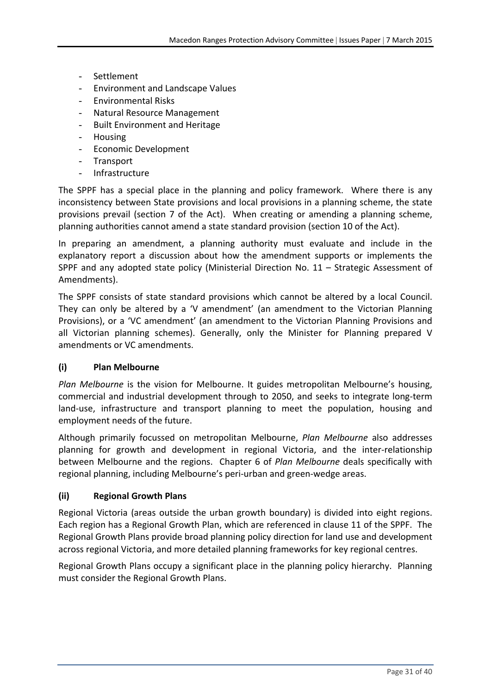- Settlement
- Environment and Landscape Values
- Environmental Risks
- Natural Resource Management
- Built Environment and Heritage
- **Housing**
- Economic Development
- **Transport**
- Infrastructure

The SPPF has a special place in the planning and policy framework. Where there is any inconsistency between State provisions and local provisions in a planning scheme, the state provisions prevail (section 7 of the Act). When creating or amending a planning scheme, planning authorities cannot amend a state standard provision (section 10 of the Act).

In preparing an amendment, a planning authority must evaluate and include in the explanatory report a discussion about how the amendment supports or implements the SPPF and any adopted state policy (Ministerial Direction No. 11 – Strategic Assessment of Amendments).

The SPPF consists of state standard provisions which cannot be altered by a local Council. They can only be altered by a 'V amendment' (an amendment to the Victorian Planning Provisions), or a 'VC amendment' (an amendment to the Victorian Planning Provisions and all Victorian planning schemes). Generally, only the Minister for Planning prepared V amendments or VC amendments.

### **(i) Plan Melbourne**

*Plan Melbourne* is the vision for Melbourne. It guides metropolitan Melbourne's housing, commercial and industrial development through to 2050, and seeks to integrate long‐term land-use, infrastructure and transport planning to meet the population, housing and employment needs of the future.

Although primarily focussed on metropolitan Melbourne, *Plan Melbourne* also addresses planning for growth and development in regional Victoria, and the inter‐relationship between Melbourne and the regions. Chapter 6 of *Plan Melbourne* deals specifically with regional planning, including Melbourne's peri‐urban and green‐wedge areas.

### **(ii) Regional Growth Plans**

Regional Victoria (areas outside the urban growth boundary) is divided into eight regions. Each region has a Regional Growth Plan, which are referenced in clause 11 of the SPPF. The Regional Growth Plans provide broad planning policy direction for land use and development across regional Victoria, and more detailed planning frameworks for key regional centres.

Regional Growth Plans occupy a significant place in the planning policy hierarchy. Planning must consider the Regional Growth Plans.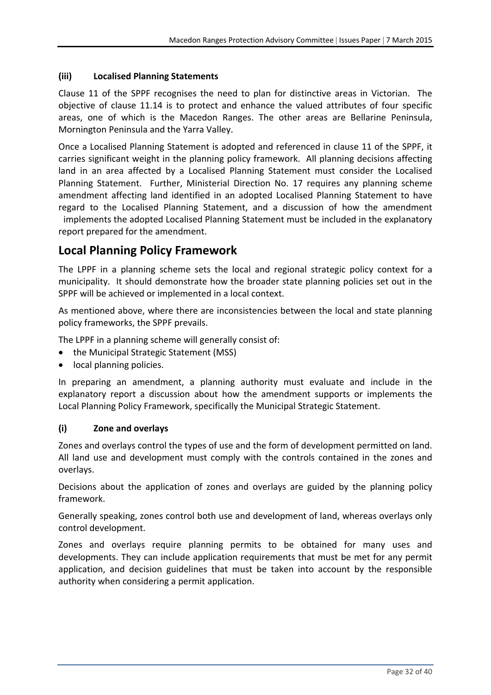### **(iii) Localised Planning Statements**

Clause 11 of the SPPF recognises the need to plan for distinctive areas in Victorian. The objective of clause 11.14 is to protect and enhance the valued attributes of four specific areas, one of which is the Macedon Ranges. The other areas are Bellarine Peninsula, Mornington Peninsula and the Yarra Valley.

Once a Localised Planning Statement is adopted and referenced in clause 11 of the SPPF, it carries significant weight in the planning policy framework. All planning decisions affecting land in an area affected by a Localised Planning Statement must consider the Localised Planning Statement. Further, Ministerial Direction No. 17 requires any planning scheme amendment affecting land identified in an adopted Localised Planning Statement to have regard to the Localised Planning Statement, and a discussion of how the amendment implements the adopted Localised Planning Statement must be included in the explanatory report prepared for the amendment.

### **Local Planning Policy Framework**

The LPPF in a planning scheme sets the local and regional strategic policy context for a municipality. It should demonstrate how the broader state planning policies set out in the SPPF will be achieved or implemented in a local context.

As mentioned above, where there are inconsistencies between the local and state planning policy frameworks, the SPPF prevails.

The LPPF in a planning scheme will generally consist of:

- the Municipal Strategic Statement (MSS)
- **•** local planning policies.

In preparing an amendment, a planning authority must evaluate and include in the explanatory report a discussion about how the amendment supports or implements the Local Planning Policy Framework, specifically the Municipal Strategic Statement.

### **(i) Zone and overlays**

Zones and overlays control the types of use and the form of development permitted on land. All land use and development must comply with the controls contained in the zones and overlays.

Decisions about the application of zones and overlays are guided by the planning policy framework.

Generally speaking, zones control both use and development of land, whereas overlays only control development.

Zones and overlays require planning permits to be obtained for many uses and developments. They can include application requirements that must be met for any permit application, and decision guidelines that must be taken into account by the responsible authority when considering a permit application.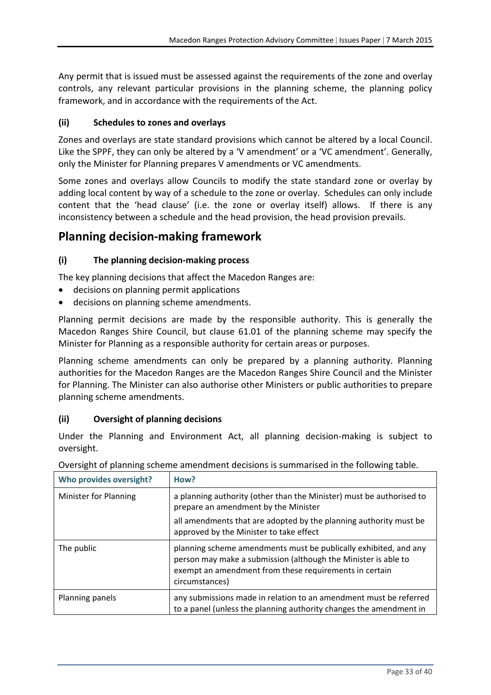Any permit that is issued must be assessed against the requirements of the zone and overlay controls, any relevant particular provisions in the planning scheme, the planning policy framework, and in accordance with the requirements of the Act.

### **(ii) Schedules to zones and overlays**

Zones and overlays are state standard provisions which cannot be altered by a local Council. Like the SPPF, they can only be altered by a 'V amendment' or a 'VC amendment'. Generally, only the Minister for Planning prepares V amendments or VC amendments.

Some zones and overlays allow Councils to modify the state standard zone or overlay by adding local content by way of a schedule to the zone or overlay. Schedules can only include content that the 'head clause' (i.e. the zone or overlay itself) allows. If there is any inconsistency between a schedule and the head provision, the head provision prevails.

### **Planning decision‐making framework**

### **(i) The planning decision‐making process**

The key planning decisions that affect the Macedon Ranges are:

- decisions on planning permit applications
- decisions on planning scheme amendments.

Planning permit decisions are made by the responsible authority. This is generally the Macedon Ranges Shire Council, but clause 61.01 of the planning scheme may specify the Minister for Planning as a responsible authority for certain areas or purposes.

Planning scheme amendments can only be prepared by a planning authority. Planning authorities for the Macedon Ranges are the Macedon Ranges Shire Council and the Minister for Planning. The Minister can also authorise other Ministers or public authorities to prepare planning scheme amendments.

#### **(ii) Oversight of planning decisions**

Under the Planning and Environment Act, all planning decision‐making is subject to oversight.

| Who provides oversight? | How?                                                                                                                                                                                                           |
|-------------------------|----------------------------------------------------------------------------------------------------------------------------------------------------------------------------------------------------------------|
| Minister for Planning   | a planning authority (other than the Minister) must be authorised to<br>prepare an amendment by the Minister                                                                                                   |
|                         | all amendments that are adopted by the planning authority must be<br>approved by the Minister to take effect                                                                                                   |
| The public              | planning scheme amendments must be publically exhibited, and any<br>person may make a submission (although the Minister is able to<br>exempt an amendment from these requirements in certain<br>circumstances) |
| Planning panels         | any submissions made in relation to an amendment must be referred<br>to a panel (unless the planning authority changes the amendment in                                                                        |

Oversight of planning scheme amendment decisions is summarised in the following table.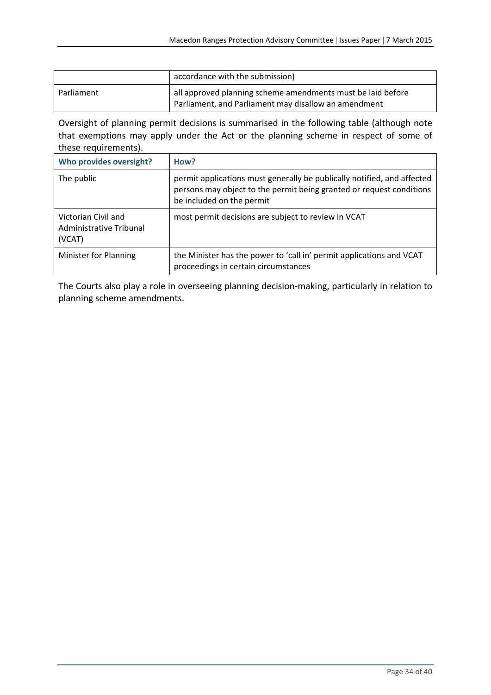|            | accordance with the submission)                                                                                     |
|------------|---------------------------------------------------------------------------------------------------------------------|
| Parliament | all approved planning scheme amendments must be laid before<br>Parliament, and Parliament may disallow an amendment |

Oversight of planning permit decisions is summarised in the following table (although note that exemptions may apply under the Act or the planning scheme in respect of some of these requirements).

| Who provides oversight?                                  | How?                                                                                                                                                                         |
|----------------------------------------------------------|------------------------------------------------------------------------------------------------------------------------------------------------------------------------------|
| The public                                               | permit applications must generally be publically notified, and affected<br>persons may object to the permit being granted or request conditions<br>be included on the permit |
| Victorian Civil and<br>Administrative Tribunal<br>(VCAT) | most permit decisions are subject to review in VCAT                                                                                                                          |
| Minister for Planning                                    | the Minister has the power to 'call in' permit applications and VCAT<br>proceedings in certain circumstances                                                                 |

The Courts also play a role in overseeing planning decision‐making, particularly in relation to planning scheme amendments.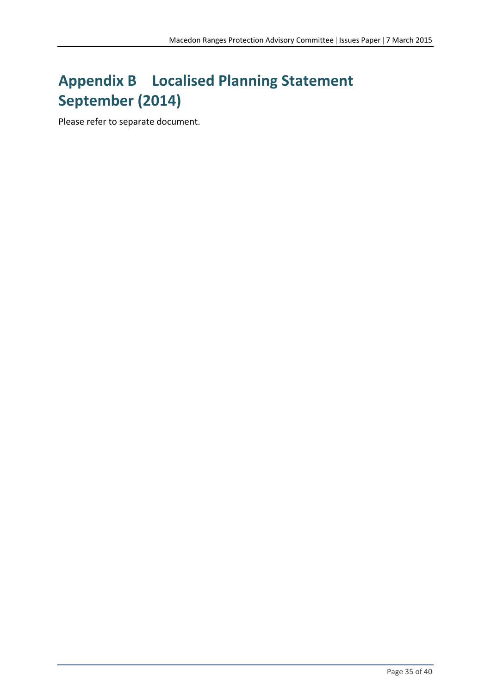# **Appendix B Localised Planning Statement September (2014)**

Please refer to separate document.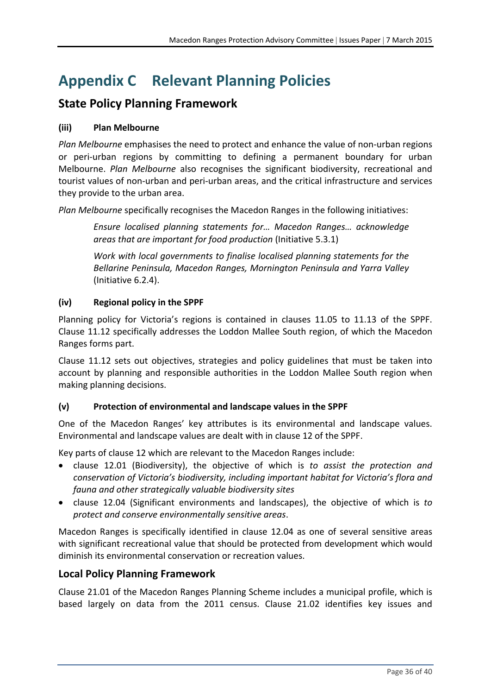# **Appendix C Relevant Planning Policies**

### **State Policy Planning Framework**

### **(iii) Plan Melbourne**

*Plan Melbourne* emphasises the need to protect and enhance the value of non‐urban regions or peri-urban regions by committing to defining a permanent boundary for urban Melbourne. *Plan Melbourne* also recognises the significant biodiversity, recreational and tourist values of non‐urban and peri‐urban areas, and the critical infrastructure and services they provide to the urban area.

*Plan Melbourne* specifically recognises the Macedon Ranges in the following initiatives:

*Ensure localised planning statements for… Macedon Ranges… acknowledge areas that are important for food production* (Initiative 5.3.1)

*Work with local governments to finalise localised planning statements for the Bellarine Peninsula, Macedon Ranges, Mornington Peninsula and Yarra Valley* (Initiative 6.2.4).

### **(iv) Regional policy in the SPPF**

Planning policy for Victoria's regions is contained in clauses 11.05 to 11.13 of the SPPF. Clause 11.12 specifically addresses the Loddon Mallee South region, of which the Macedon Ranges forms part.

Clause 11.12 sets out objectives, strategies and policy guidelines that must be taken into account by planning and responsible authorities in the Loddon Mallee South region when making planning decisions.

### **(v) Protection of environmental and landscape values in the SPPF**

One of the Macedon Ranges' key attributes is its environmental and landscape values. Environmental and landscape values are dealt with in clause 12 of the SPPF.

Key parts of clause 12 which are relevant to the Macedon Ranges include:

- clause 12.01 (Biodiversity), the objective of which is *to assist the protection and conservation of Victoria's biodiversity, including important habitat for Victoria's flora and fauna and other strategically valuable biodiversity sites*
- clause 12.04 (Significant environments and landscapes), the objective of which is *to protect and conserve environmentally sensitive areas*.

Macedon Ranges is specifically identified in clause 12.04 as one of several sensitive areas with significant recreational value that should be protected from development which would diminish its environmental conservation or recreation values.

### **Local Policy Planning Framework**

Clause 21.01 of the Macedon Ranges Planning Scheme includes a municipal profile, which is based largely on data from the 2011 census. Clause 21.02 identifies key issues and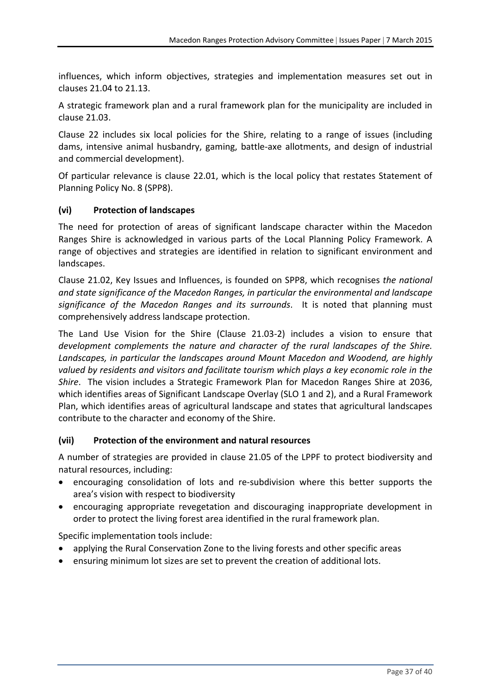influences, which inform objectives, strategies and implementation measures set out in clauses 21.04 to 21.13.

A strategic framework plan and a rural framework plan for the municipality are included in clause 21.03.

Clause 22 includes six local policies for the Shire, relating to a range of issues (including dams, intensive animal husbandry, gaming, battle‐axe allotments, and design of industrial and commercial development).

Of particular relevance is clause 22.01, which is the local policy that restates Statement of Planning Policy No. 8 (SPP8).

### **(vi) Protection of landscapes**

The need for protection of areas of significant landscape character within the Macedon Ranges Shire is acknowledged in various parts of the Local Planning Policy Framework. A range of objectives and strategies are identified in relation to significant environment and landscapes.

Clause 21.02, Key Issues and Influences, is founded on SPP8, which recognises *the national and state significance of the Macedon Ranges, in particular the environmental and landscape significance of the Macedon Ranges and its surrounds*. It is noted that planning must comprehensively address landscape protection.

The Land Use Vision for the Shire (Clause 21.03‐2) includes a vision to ensure that *development complements the nature and character of the rural landscapes of the Shire. Landscapes, in particular the landscapes around Mount Macedon and Woodend, are highly valued by residents and visitors and facilitate tourism which plays a key economic role in the Shire*. The vision includes a Strategic Framework Plan for Macedon Ranges Shire at 2036, which identifies areas of Significant Landscape Overlay (SLO 1 and 2), and a Rural Framework Plan, which identifies areas of agricultural landscape and states that agricultural landscapes contribute to the character and economy of the Shire.

### **(vii) Protection of the environment and natural resources**

A number of strategies are provided in clause 21.05 of the LPPF to protect biodiversity and natural resources, including:

- encouraging consolidation of lots and re‐subdivision where this better supports the area's vision with respect to biodiversity
- encouraging appropriate revegetation and discouraging inappropriate development in order to protect the living forest area identified in the rural framework plan.

Specific implementation tools include:

- applying the Rural Conservation Zone to the living forests and other specific areas
- ensuring minimum lot sizes are set to prevent the creation of additional lots.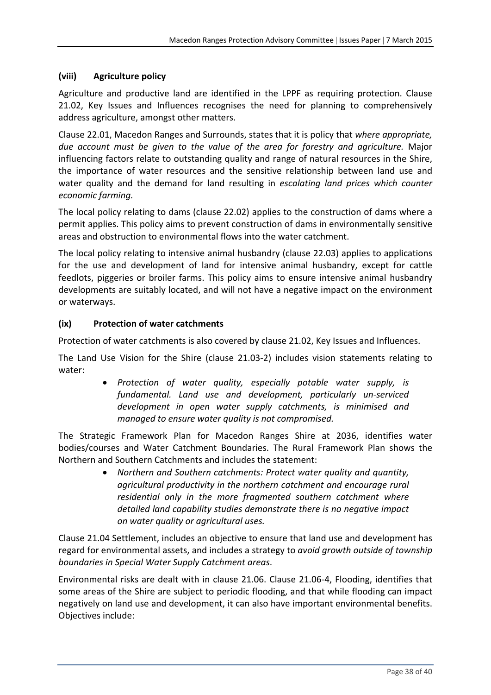### **(viii) Agriculture policy**

Agriculture and productive land are identified in the LPPF as requiring protection. Clause 21.02, Key Issues and Influences recognises the need for planning to comprehensively address agriculture, amongst other matters.

Clause 22.01, Macedon Ranges and Surrounds, states that it is policy that *where appropriate, due account must be given to the value of the area for forestry and agriculture.* Major influencing factors relate to outstanding quality and range of natural resources in the Shire, the importance of water resources and the sensitive relationship between land use and water quality and the demand for land resulting in *escalating land prices which counter economic farming.*

The local policy relating to dams (clause 22.02) applies to the construction of dams where a permit applies. This policy aims to prevent construction of dams in environmentally sensitive areas and obstruction to environmental flows into the water catchment.

The local policy relating to intensive animal husbandry (clause 22.03) applies to applications for the use and development of land for intensive animal husbandry, except for cattle feedlots, piggeries or broiler farms. This policy aims to ensure intensive animal husbandry developments are suitably located, and will not have a negative impact on the environment or waterways.

### **(ix) Protection of water catchments**

Protection of water catchments is also covered by clause 21.02, Key Issues and Influences.

The Land Use Vision for the Shire (clause 21.03‐2) includes vision statements relating to water:

> *Protection of water quality, especially potable water supply, is fundamental. Land use and development, particularly un‐serviced development in open water supply catchments, is minimised and managed to ensure water quality is not compromised.*

The Strategic Framework Plan for Macedon Ranges Shire at 2036, identifies water bodies/courses and Water Catchment Boundaries. The Rural Framework Plan shows the Northern and Southern Catchments and includes the statement:

> *Northern and Southern catchments: Protect water quality and quantity, agricultural productivity in the northern catchment and encourage rural residential only in the more fragmented southern catchment where detailed land capability studies demonstrate there is no negative impact on water quality or agricultural uses.*

Clause 21.04 Settlement, includes an objective to ensure that land use and development has regard for environmental assets, and includes a strategy to *avoid growth outside of township boundaries in Special Water Supply Catchment areas*.

Environmental risks are dealt with in clause 21.06. Clause 21.06‐4, Flooding, identifies that some areas of the Shire are subject to periodic flooding, and that while flooding can impact negatively on land use and development, it can also have important environmental benefits. Objectives include: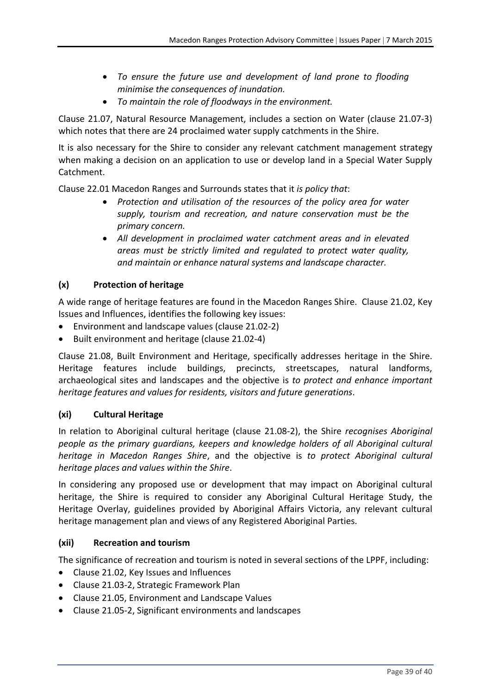- *To ensure the future use and development of land prone to flooding minimise the consequences of inundation.*
- *To maintain the role of floodways in the environment.*

Clause 21.07, Natural Resource Management, includes a section on Water (clause 21.07‐3) which notes that there are 24 proclaimed water supply catchments in the Shire.

It is also necessary for the Shire to consider any relevant catchment management strategy when making a decision on an application to use or develop land in a Special Water Supply Catchment.

Clause 22.01 Macedon Ranges and Surrounds states that it *is policy that*:

- *Protection and utilisation of the resources of the policy area for water supply, tourism and recreation, and nature conservation must be the primary concern.*
- *All development in proclaimed water catchment areas and in elevated areas must be strictly limited and regulated to protect water quality, and maintain or enhance natural systems and landscape character.*

### **(x) Protection of heritage**

A wide range of heritage features are found in the Macedon Ranges Shire. Clause 21.02, Key Issues and Influences, identifies the following key issues:

- Environment and landscape values (clause 21.02‐2)
- Built environment and heritage (clause 21.02‐4)

Clause 21.08, Built Environment and Heritage, specifically addresses heritage in the Shire. Heritage features include buildings, precincts, streetscapes, natural landforms, archaeological sites and landscapes and the objective is *to protect and enhance important heritage features and values for residents, visitors and future generations*.

### **(xi) Cultural Heritage**

In relation to Aboriginal cultural heritage (clause 21.08‐2), the Shire *recognises Aboriginal people as the primary guardians, keepers and knowledge holders of all Aboriginal cultural heritage in Macedon Ranges Shire*, and the objective is *to protect Aboriginal cultural heritage places and values within the Shire*.

In considering any proposed use or development that may impact on Aboriginal cultural heritage, the Shire is required to consider any Aboriginal Cultural Heritage Study, the Heritage Overlay, guidelines provided by Aboriginal Affairs Victoria, any relevant cultural heritage management plan and views of any Registered Aboriginal Parties.

### **(xii) Recreation and tourism**

The significance of recreation and tourism is noted in several sections of the LPPF, including:

- Clause 21.02, Key Issues and Influences
- Clause 21.03‐2, Strategic Framework Plan
- Clause 21.05, Environment and Landscape Values
- Clause 21.05‐2, Significant environments and landscapes